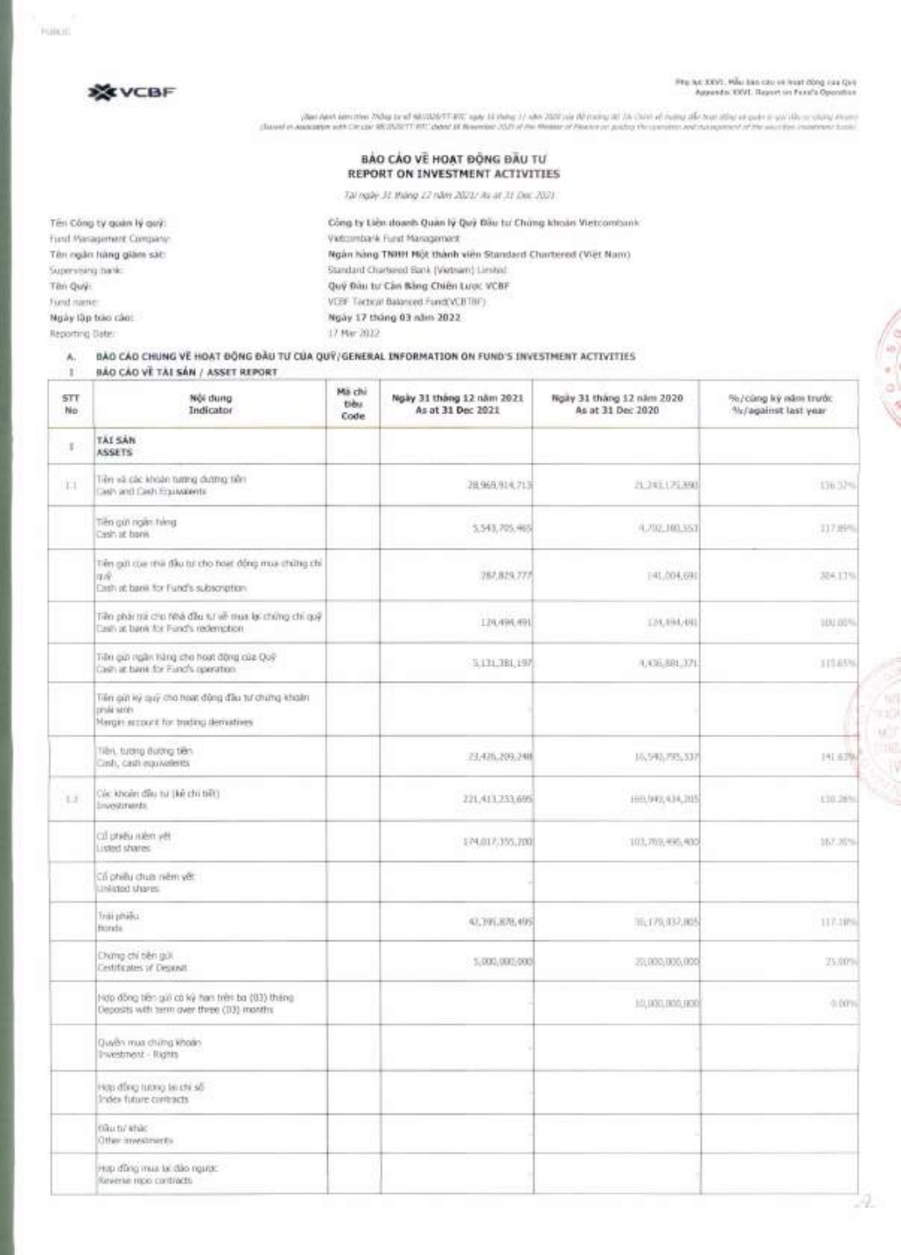(Not has take the play that MAN/MT-89) and this 11-day 26 Young It 16 Out of name the surface of the United the United Sections And the United Sections Assets

### **BAO CAO VE HOAT DONG DAU REPORT ON INVESTMENT ACTIVITIES**

Tai ngay 31 (hang 12 nom 2021/ As at 31 Dec 2021

Tên Công ty quân lý quỹ: **Công ty Liên doanh Quân lý Quỹ Đầu** tu Chúng khoán Vietcombank Fund Management Company: Vietcombank Fund Management Ten ngân háng giam sát: Nam) **Math New York Name (Nghin hang TNHH M**ột thành viên Standard Chartered (Viet Nam) Supervising bank: Standard Chartered Bank (Vietnam) Limited Ten Qui): Qui Dau ht Can Bang Chien Lugc VCBF Fund name: VCBF Tactical Balanced Fund(VCBTBF) **Ngiy lap boo coo: Ngay 17 thong 03 nom 2022**  Reporting Date: 17 Mar 2022

### **A. BAO CAO CHUNG VI HOAT BONG DAU TUCCIA QUi/GENERAL INFORMATION ON FUND'S INVESTMENT ACTIVITIES**

**I BAO CAO VI TAI SAN / ASSET REPORT** 

Reverse repo contracts

| <b>STT</b><br>No. | Nội dung.<br>Indicator                                                                                    | Mà chi<br>tièu.<br>Code | Ngày 31 tháng 12 năm 2021<br>As at 31 Dec 2021 | Ngãy 31 tháng 12 năm 2020<br>As at 31 Dec 2020 | %/cang ký islni trutóc<br>%/against last year |
|-------------------|-----------------------------------------------------------------------------------------------------------|-------------------------|------------------------------------------------|------------------------------------------------|-----------------------------------------------|
| 1                 | TAI SAN<br><b>ASSETS</b>                                                                                  |                         |                                                |                                                |                                               |
| T.L               | Tiên và các khoản tương đương tiên<br>Cash and Cash Equivalents                                           |                         | 28.969.914.71顶                                 | 21:241.175.890                                 | 136,37%                                       |
|                   | Tiên giới ngân tiêng<br>Direct 3rt deed.                                                                  |                         | 5,543,705,465                                  | 9,702,300,553                                  | 117.8P%                                       |
|                   | Tiên giữ của nhà đầu tư cho hoạt đồng mua chứng chỉ<br>19.00<br>Cash at bank for Fund's subscription      |                         | 287,829,777                                    | 141,004,091                                    | 204.13%                                       |
|                   | Tiên phải trá cho Nhà đầu tự về mua lại chứng chi quỹ<br>Easin at bank for Fund's redemption              |                         | 124,494,491                                    | IM, 994, 491                                   | 100.00%                                       |
|                   | Tiên quố ngân tiêng cho hoạt động của Quỹ<br>Cash at bank for Fund's operation                            |                         | 5:131.381,197                                  | 4,436,881,371                                  | 10.69%                                        |
|                   | Tiên giới kỳ quý cho hoạt động đầu từ chứng khoản<br>rinki sirin<br>Margin account for truding demostries |                         |                                                |                                                |                                               |
|                   | Tiên, turding durong tiên.<br>Circli, cash equivalents                                                    |                         | 23.426.209.248                                 | 10,540,795,337                                 | IAL62%                                        |
| 13                | Cac khoan dilu tu (ke chi tiết)<br>linoostmards.                                                          |                         | 221,413,233,695                                | 1933,949, 634, 205                             | 170.26%                                       |
|                   | (3) physical LCD<br>Listed shares                                                                         |                         | 124,017,355,700                                | 103, 203, 495, 400                             | 167.20%                                       |
|                   | Cổ phiếu chua niêm yết.<br>arrents botales.                                                               |                         |                                                |                                                |                                               |
|                   | Trili phiêu<br>Horida.                                                                                    |                         | 42,395,878,495                                 | HL176,032,805                                  | 117.19%                                       |
|                   | Chứng chi tiên giữ.<br>Certificates of Deposit                                                            |                         | 5,000,000,000                                  | 20,000,000,000                                 | 25.00%                                        |
|                   | Hợp đồng tiên giờ có kỳ han trên ba (03) tháng<br>Deposits with term over three (D3) months               |                         |                                                | 10,000,000,000                                 | $0.00\%$                                      |
|                   | Quyền mua chứng khoán<br>Investment - Rights                                                              |                         |                                                |                                                |                                               |
|                   | Hop direct using talking sit-<br>Index future contracts                                                   |                         |                                                |                                                |                                               |
|                   | countrature.<br>Other investments                                                                         |                         |                                                |                                                |                                               |
|                   | Hop dang mus bi dao nguac.                                                                                |                         |                                                |                                                |                                               |

**Halcott** 

vör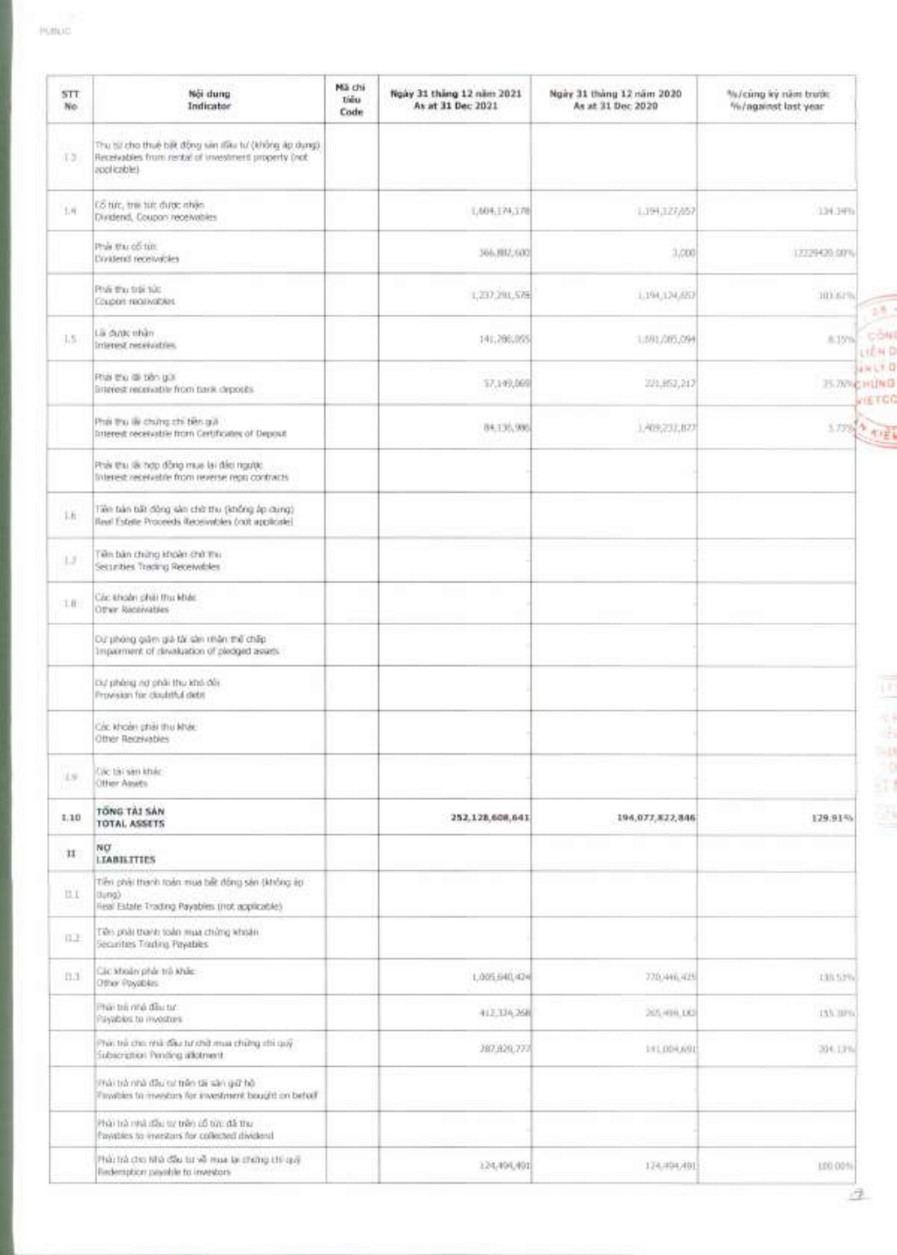| STT.<br>No.   | Noi dung<br>Indicator                                                                                                        | Mã chi<br><b>Tiểu</b><br>Code | Ngày 31 tháng 12 năm 2021<br>As at 31 Dec 2021 | Ngiry 31 tháng 12 năm 2020<br>As at 31 Dec 2020 | %/cũng ký năm trước<br>%/against last year |
|---------------|------------------------------------------------------------------------------------------------------------------------------|-------------------------------|------------------------------------------------|-------------------------------------------------|--------------------------------------------|
| 13            | Thu bit cho thuệ biệt động sin tiêu tư (không áp dụng)<br>Receivables from rental of investment property (not<br>applicable) |                               |                                                |                                                 |                                            |
| 1.4.          | CS tức, trie tức được nhận<br>Dividend, Coupon receivables                                                                   |                               | 1,604,174,178                                  | 1,194,127,057                                   | 134.34%                                    |
|               | Phật thu cổ từn<br>Dividend receivables                                                                                      |                               | 366,982,600                                    | 3,000                                           | 12229420:00%                               |
|               | Phái thu trái túc.<br>Coupon readivables.                                                                                    |                               | 1,237.201,576                                  | 1,194,124,657                                   | 101,61%                                    |
| 15.           | Lii dubt chin<br>Interest necessation.                                                                                       |                               | 141,206,055                                    | 1,591,005,094                                   | 8.35%<br>LIEN O                            |
|               | Phái thu dà bản giái<br>listenest receivable from bank deposits.                                                             |                               | 57,149,069                                     | 221,952,217                                     | awit.0<br>25.78% CHUNG                     |
|               | Phái thu lile chúng chi beo gui-<br>Interest receivable from Certificates of Deposit                                         |                               | 84,135,995                                     | 1,409,231,872                                   | VIETOC<br><b>STORY &amp; AVEV</b>          |
|               | Prair thu las hợp đồng mua lại dáo ngược<br>listenest receivable from reverse repo contracts                                 |                               |                                                |                                                 |                                            |
| Th:           | Tiên bản bất đông sản chở thu (không áp dùng)<br>Real Estate Proceeds Receivables (not applicate)                            |                               |                                                |                                                 |                                            |
| LJ            | Tiên bản chứng khoản chủ thu:<br>Securities Trading Receivables                                                              |                               |                                                |                                                 |                                            |
| 18:           | Coc khoor phat thu khac<br>Other Raceivables                                                                                 |                               |                                                |                                                 |                                            |
|               | Dư phòng giảm giá tài cần nhân thế chấp<br>atsass bedoolg to notisalished to trements                                        |                               |                                                |                                                 |                                            |
|               | thư phảng nơ phải thu khó đối.<br>Provision for cloudithal diebt                                                             |                               |                                                |                                                 |                                            |
|               | Coc khoan phai thu khác<br>Other Receivables                                                                                 |                               |                                                |                                                 |                                            |
| $1.9^{\circ}$ | Olic tal san khác<br>Other Abuts                                                                                             |                               |                                                |                                                 |                                            |
| 1,10          | TONG TAI SAN<br>TOTAL ASSETS                                                                                                 |                               | 252,128,608,641                                | 194,077,822,846                                 | 129.91%                                    |
| 11            | NO <sup>.</sup><br><b>LIABILITIES</b>                                                                                        |                               |                                                |                                                 |                                            |
| U.L           | Tiên phải thanh toàn mua bất đồng sản (không áp<br>(burist)<br>lieal Estate Trading Payables (not applicable).               |                               |                                                |                                                 |                                            |
| 0.2           | riks plat thank todo mua ching whatn.<br>Securities Trading Payables                                                         |                               |                                                |                                                 |                                            |
| 11.3          | Lic Modn phát trò Khie<br>Other Payables                                                                                     |                               | 1,005,640,424                                  | 770/446.425                                     | 130,53%                                    |
|               | Han thì ring đầu tư<br>Payables to myostors.                                                                                 |                               | 412,334,268                                    | 205/499.00                                      | 155,30%                                    |
|               | Thai thi cho mili dhu tư chữ mia chứng chi quỹ<br>Subscription Pending atlatment.                                            |                               | 287,829,777                                    | 141,004,691                                     | 204.13%                                    |
|               | Phải trà nhà đầu tư trên tài sản giữ hộ<br>Tayables to investors for investment bought on behalf                             |                               |                                                |                                                 |                                            |
|               | Phải trả nhà đầu từ trên cổ từc đã thư<br>Invalves to investors for collected dividend.                                      |                               |                                                |                                                 |                                            |
|               | Fish this grithma as near fix that office and close<br>Redemption payable to investors                                       |                               | 124,494,491                                    | 124.494.491                                     | LDD-00%                                    |

 $\mathcal{A}$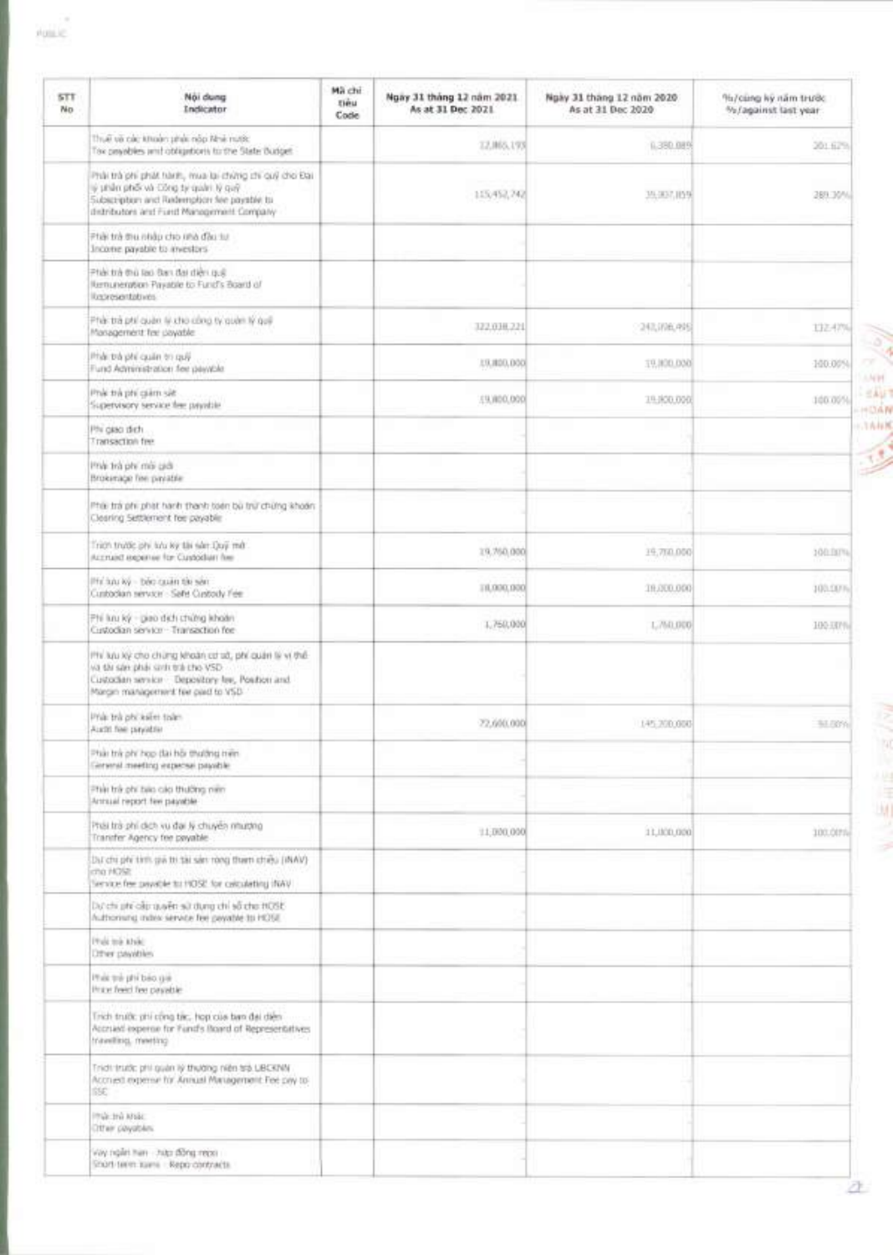| <b>STT</b><br>No | Noi dung<br>Indicator                                                                                                                                                                          | Mà chi<br>tieu<br>Code | Ngay 31 tháng 12 năm 2021.<br>As at 31 Dec 2021 | Ngày 31 tháng 12 năm 2020<br>As at 31 Dec 2020 | %/cung ky năm trước<br>%/against last year |
|------------------|------------------------------------------------------------------------------------------------------------------------------------------------------------------------------------------------|------------------------|-------------------------------------------------|------------------------------------------------|--------------------------------------------|
|                  | Thuế và các khoán phái nàp Nhé nước<br>Tox providies with obligations to the State Budget.                                                                                                     |                        | 12,065,193                                      | 6.380,08%                                      | 201429                                     |
|                  | Phật trà phi phát hành, mua lại chứng chi cuỹ cho Đại<br>iji şirilin pinői và Công tij quáni. Iý quỹ<br>Subscription and Rademption fee payable to<br>distributors and Furd Management Company |                        | 115/457,742                                     | 39, 307, 1159                                  | 289.30%                                    |
|                  | Phải trà thu nhập cho thà đầu tự<br>Income payable to investors                                                                                                                                |                        |                                                 |                                                |                                            |
|                  | Phải trà thủ lào Đạn đại diện quậ<br>Kentuneration Payable to Fund's Board of<br>lockesartables.                                                                                               |                        |                                                 |                                                |                                            |
|                  | Phái trá phí quân lý xho công ty quân lý quê<br>Management feel payable:                                                                                                                       |                        | 322.038.221                                     | 243,006,495                                    | 132.42%                                    |
|                  | Phát trà phí quân trì quỹ<br>Fund Administration fee playable.                                                                                                                                 |                        | 13,800,000                                      | 19,000,000                                     | 100.00%                                    |
|                  | Provide might philosophy<br>Supervisory service fee payable                                                                                                                                    |                        | 19,000,000                                      | 19-800.000                                     | 100.00%                                    |
|                  | Phi gato dich.<br>Transaction fee                                                                                                                                                              |                        |                                                 |                                                |                                            |
|                  | the inn vig thi the<br>Brokerage fire payable:                                                                                                                                                 |                        |                                                 |                                                |                                            |
|                  | Phili trà phi phật hành thành toán bù trừ chứng khoán.<br>Clearing Settlement fee payable:                                                                                                     |                        |                                                 |                                                |                                            |
|                  | Trich trước phi lưu kỳ thi sản Quy mới<br>Accrued expense for Custodian fee-                                                                                                                   |                        | 19.760.000                                      | 19,710,000                                     | 100.00%                                    |
|                  | Philadu ký - bác cauán tár sán:<br>Cusbackan service - Safe Cusbady Fee:                                                                                                                       |                        | 11,000,000                                      | 18,000,000                                     | 100.00%                                    |
|                  | Phi kau ký - piao dich chứng khoản<br>Custodian service - Transaction fee                                                                                                                      |                        | 1,760,000                                       | L760,000                                       | 100-JXPN                                   |
|                  | IPH light kỳ cho chững khoản cơ sở, phí quân là vì thế-<br>va da san phái sinh trà cho VSD.<br>Custodian service Depository fee, Position and<br>Margin management fee paid to VSD             |                        |                                                 |                                                |                                            |
|                  | Phili: trik phi kaliet tiske-<br>Aucht fee payable                                                                                                                                             |                        | 72,600,000                                      | 145,700,000                                    | 53.78%                                     |
|                  | Phát trẻ phí họp dài hội thường triện<br>General meeting expense payable                                                                                                                       |                        |                                                 |                                                |                                            |
|                  | Phật trà phi bilo cáp thường niên<br>Armssel report few payable                                                                                                                                |                        |                                                 |                                                |                                            |
|                  | Phái trà phí dịch vụ đại lý chuyển nhường<br>Transfer Agency fee payable.                                                                                                                      |                        | 11,000,000                                      | 11,000,000                                     | 100.00%                                    |
|                  | Dut chi phi timi gia tti tai san rong tham cheu (INAV)<br>cho HOSE<br>lence fee payable to HOSE for calculating (NAV)                                                                          |                        |                                                 |                                                |                                            |
|                  | 380th arts of irts anults the miles of a significant<br>fulthorning index service fee payable to HOSE.                                                                                         |                        |                                                 |                                                |                                            |
|                  | Philippine Alve<br>Diffrent pasyables:                                                                                                                                                         |                        |                                                 |                                                |                                            |
|                  | Philippi phi bao gai<br>Price feed fee payable                                                                                                                                                 |                        |                                                 |                                                |                                            |
|                  | Trich truth: phi cong tik:, hop cus ban dai dièn-<br>Accrued expense for Fund's Board of Representatives<br>travelling, meeting                                                                |                        |                                                 |                                                |                                            |
|                  | Trich trutk: phi quan iý thường niên trà LIBCKNN<br>Accrued expense for Annual Management Fee pay to:<br>BE.                                                                                   |                        |                                                 |                                                |                                            |
|                  | <b>THE THE MILE</b><br>Other payables.                                                                                                                                                         |                        |                                                 |                                                |                                            |
|                  | Yay ngan man - nan naga recen<br>Short-term same - Repo contracts.                                                                                                                             |                        |                                                 |                                                |                                            |



William Britain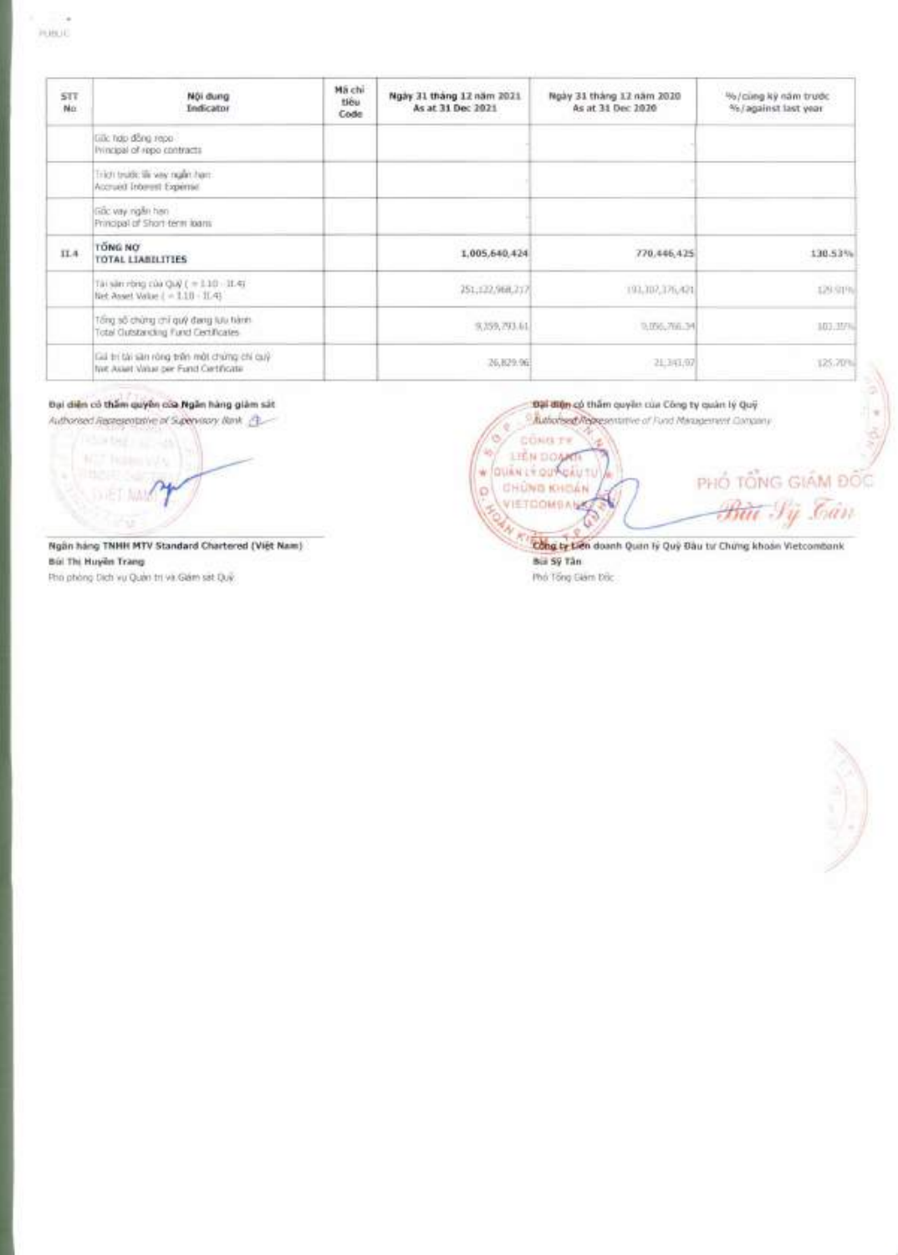| STT.<br>No | Női dung<br>Indicator                                                              | Mä chi<br>tiou<br>Code | Ngày 31 tháng 12 năm 2021<br>As at 31 Dec 2021 | Ngày 31 tháng 12 năm 2020<br>As at 31 Dec 1070 | %/cing ky nam trudc<br>%/against last year |
|------------|------------------------------------------------------------------------------------|------------------------|------------------------------------------------|------------------------------------------------|--------------------------------------------|
|            | Gilic hdp dong repo-<br>Ivincipal of repo contracts                                |                        |                                                |                                                |                                            |
|            | Trich trubb; six way ngan ham.<br>Accrued Interest Experts?                        |                        |                                                |                                                |                                            |
|            | linc vay right han<br>Principal of Short-term loans                                |                        |                                                |                                                |                                            |
| IL4        | <b>TÔNG NO</b><br><b>TOTAL LIABILITIES</b>                                         |                        | 1.005.640.424                                  | 770.446,425                                    | 130.53%                                    |
|            | Tài săn rông của Quỹ ( = 1.10 - 11.4)<br>liet Asset Value ( = 1.10 - 11.41)        |                        | 251;122,968,217                                | 193,307,376,421                                | 129.919                                    |
|            | Tổng số chứng chỉ quỹ đang lựu tiành.<br>Total Clubstanding Fund Certificates      |                        | 9, 259, 293.61.                                | 9.096,766.34                                   | 103.359                                    |
|            | Giá trí bh san ròng trên một chúng chi cuý<br>two Asset Value per Fund Certificate |                        | 26,829.96                                      | 21.341,07                                      | 125.70%                                    |

Đại diện có thẩm quyền của Ngân hàng giảm sát

Authorised Researchable of Supervisory, Bank @\_

**MIZ Robert VAN DIET MANS** 

Ngân háng TNHH MTV Standard Chartered (Việt Nam) Búi Thị Huyền Trang Pho phòng Dịch vụ Quân trị và Gián sát Quỹ.

Authorised Representative of Fund Management Concasty ¥ ö CONG TV 467 **LIGN DOGATI** PHỔ TỔNG GIÂM ĐỐC w/quintingungiu TU **CHONG KHOAN**  $\circ$ <del>Bùi</del> Sý Tán VIETDOMSANS  $\hat{\mathbb{G}}$ 

Dại điện có thẩm quyền của Công ty quản lý Quỹ

Cong by tien doanh Quan ly Quy Bau tu Chung khoon Vietcombank **Bill Sy Tân** Phố Tổng Giám Đốc



 $2x + 92$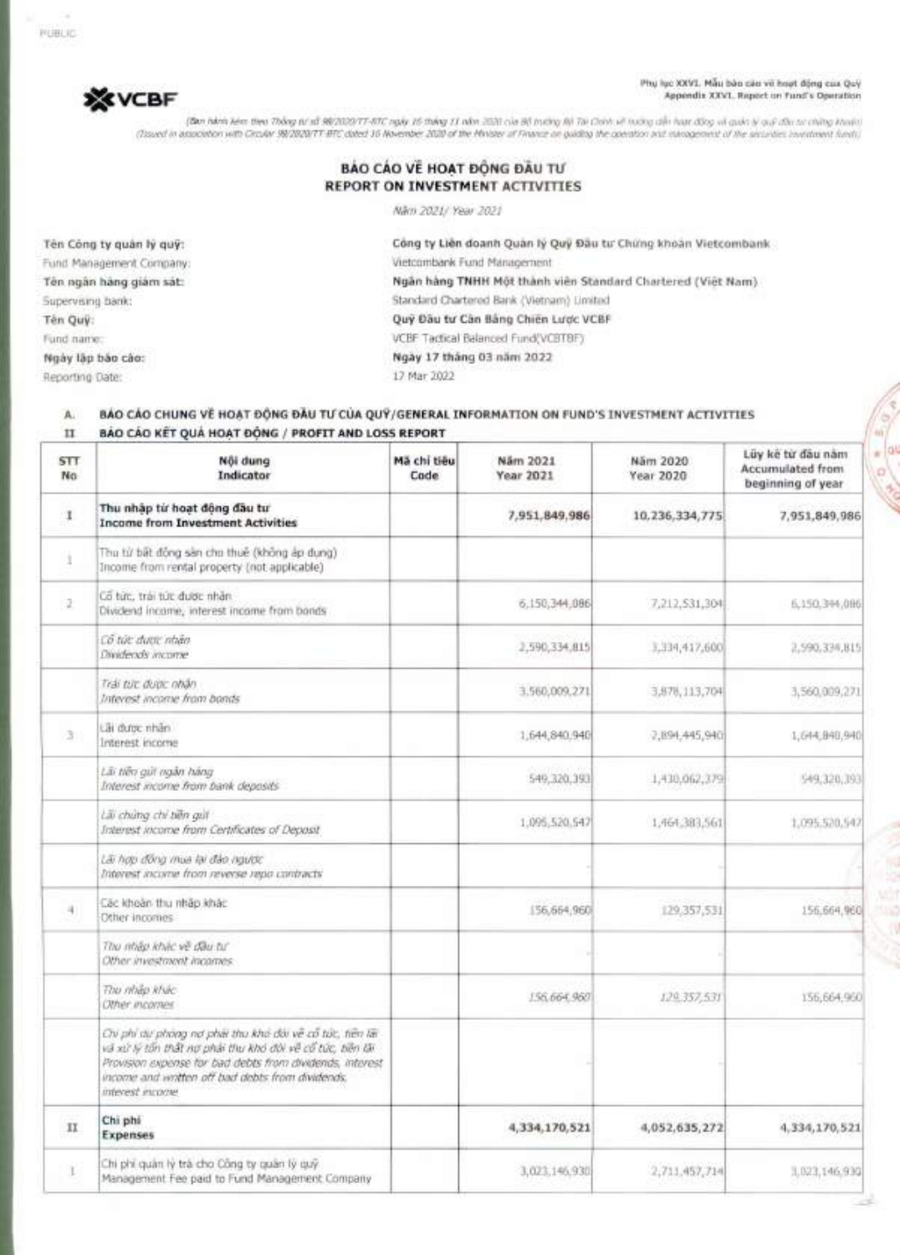Phy lyc XXVI. Mẫu bàn cáo vi hoạt động cua Quỳ Appendix XXVI. Report on Fund's Operation

 $\frac{1}{\pi}$  or

(Ban hánh kém theo Thông từ số 98/2020/TT-BTC ngày 16 tháng 11 năm 2020 của Bộ trường Bộ Tai Chính. về toáng chếu tạo động và quán lý quỹ đầu tư chứng khoán) (Issued in association with Circular 98/2020/7T-BTC dated 16 November 2020 of the Minister of Finance on guiding the coembon and management of the securities investment funds)

# **BAO CAO VE HOAT DONG DAU REPORT ON INVESTMENT ACTIVITIES**

Nam 2021/ Year 2021

Reporting Date: 17 Mar 2022

**\*VCBF** 

Tên Công ty quân lý quỹ: **Công ty Liên doanh Quân lý Quỹ Đầu tư** Chứng khoản Vietcombank Fund Management Company: Vietcombank Fund Management Tên ngân hàng giám sát: **Ngan hang TNHH Một thành viên Standard Chartered (Việt Nam)** Supervising bank: Standard Chartered Bank (Vietnam) Limited Tên Quỹ: **Quỹ Đầu tư Cân Bảng Chiến Lược VCBF** Fund name: VCBF Tactical Balanced Fund(VCBTBF) **Ngay lOp bao coo: Ngay 17 thang 03 nam 2022** 

### **A.** BAO CAO **CHUNG VE HOAT DeiNG** DAU **TI) CUA QU'i/GENERAL INFORMATION ON FUND'S INVESTMENT ACTIVITIES**  II **BAO CAO KET QUA HOAT DONG / PROFIT AND LOSS REPORT**

| <b>STT</b><br>No | Nôi dung<br>Indicator                                                                                                                                                                                                                                   | Mã chi tiêu<br>Cade | Näm 2021<br>Year 2021 | Năm 2020<br>Year 2020 | Lüy kê từ đầu năm<br>Accumulated from<br>beginning of year |
|------------------|---------------------------------------------------------------------------------------------------------------------------------------------------------------------------------------------------------------------------------------------------------|---------------------|-----------------------|-----------------------|------------------------------------------------------------|
| 1                | Thu nhập từ hoạt động đầu tư<br><b>Income from Investment Activities</b>                                                                                                                                                                                |                     | 7,951,849,986         | 10, 236, 334, 775     | 7,951,849,986                                              |
| ä.               | Thu từ bất đồng sản cho thuế (không áp dung)<br>Income from rental property (not applicable)                                                                                                                                                            |                     |                       |                       |                                                            |
| 2                | Có tức, trài từc được nhân.<br>Dividend income, interest income from bonds                                                                                                                                                                              |                     | 6.150,344,086         | 7,212,531,304         | 6,150,394,086                                              |
|                  | Cổ tức được nhân<br>Dividends income                                                                                                                                                                                                                    |                     | 2,590,334,815         | 3,334,417,600         | 2,590,334,815                                              |
|                  | Trái túc duoic nhân<br>Interest income from bonds                                                                                                                                                                                                       |                     | 3,560,009,271         | 3,878, 113, 704       | 3,560,009,271                                              |
| 31               | Lãi dước nhân<br>Intenest income                                                                                                                                                                                                                        |                     | 1,644,840.940         | 7,894,445,940         | 1,644,940,940                                              |
|                  | Liù tiên quit ngân hàng<br>Interest income from bank deposits                                                                                                                                                                                           |                     | 549, 320, 393         | 1,430,062,379         | 549.328,393                                                |
|                  | Lilly churrig chi bilin quit<br>Interest income from Certificates of Deposit                                                                                                                                                                            |                     | 1.095.520.547         | 1,464,383,561         | 1,095,520,547                                              |
|                  | Lãi hợp đồng mua lại đảo ngườc<br>Interest income from reverse repo contracts                                                                                                                                                                           |                     |                       |                       |                                                            |
| $+$              | Các khoản thu nhập khác<br>Other incomes.                                                                                                                                                                                                               |                     | [56,664,960]          | 129, 357, 531         | 156,664,960                                                |
|                  | The map khác về đầu tư<br>Other investment incomes.                                                                                                                                                                                                     |                     |                       |                       |                                                            |
|                  | Thu nhập khác<br>Other incorner.                                                                                                                                                                                                                        |                     | 156,664,960           | 129.357,531           | 156,664,960                                                |
|                  | Chi phí dự phòng nơ phải thu khủ đối về cổ tức, tiên lài<br>và xử lý tấn thất nơ phải thu khó dùi về cổ tức, tiền lãi<br>Provision expense for bad debts from dividends, interest<br>income and wotten off bad debts from dividends.<br>interest excere |                     |                       |                       |                                                            |
| 11               | Chi phi<br><b>Expenses</b>                                                                                                                                                                                                                              |                     | 4,334,170,521         | 4,052,635,272         | 4.334,170,521                                              |
| Ľ                | Chi phi quản lý trá cho Công ty quân lý quỹ<br>Management Fee paid to Fund Management Company                                                                                                                                                           |                     | 3,023,146,930         | 2,711,457,714         | 1,023,146,930                                              |

PUBLIC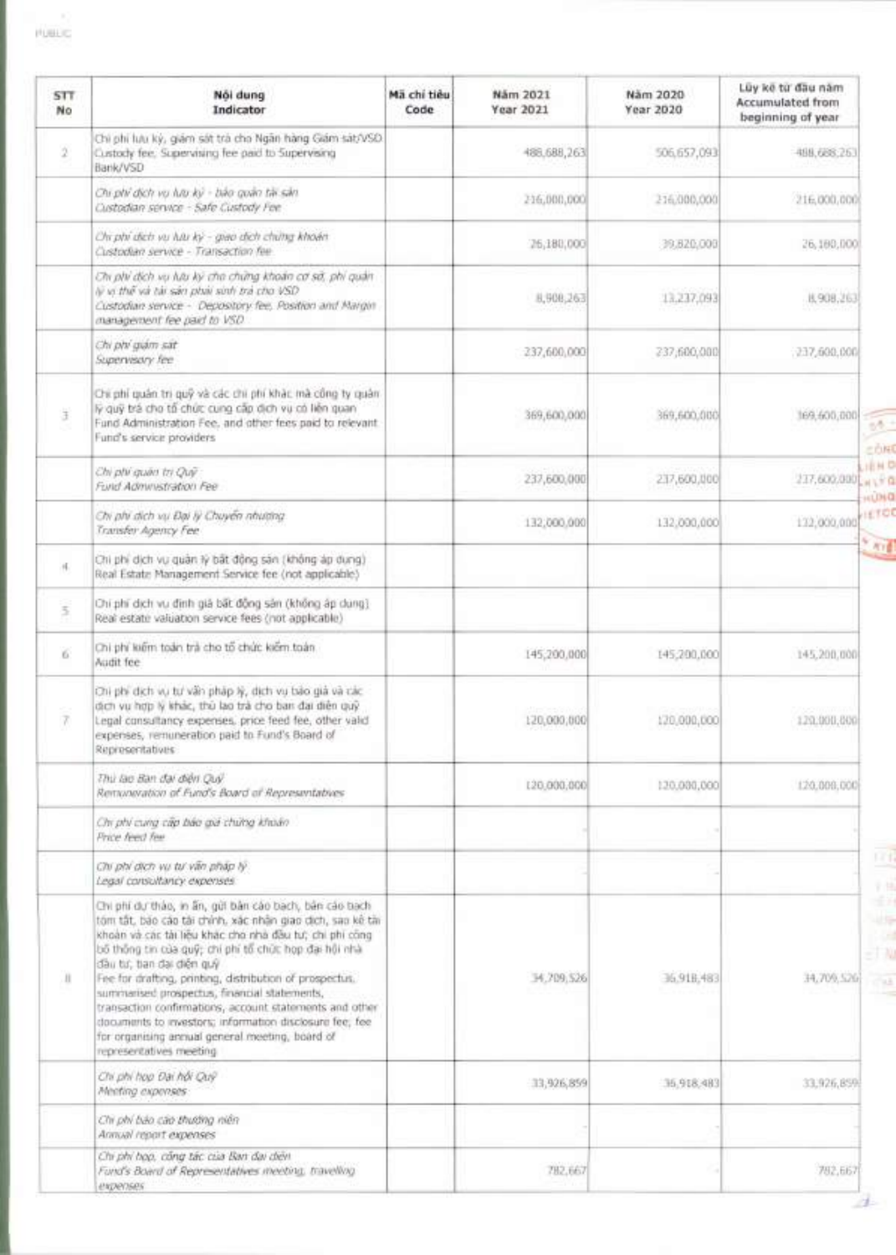| STT.<br>No | Nội dung<br>Indicator                                                                                                                                                                                                                                                                                                                                                                                                                                                                                                                                                               | Mã chí tiêu<br>Code | Năm 2021<br>Year 2021 | Nam 2020<br>Year 2020 | Lũy kẽ từ đầu năm<br><b>Accumulated from</b><br>beginning of year |
|------------|-------------------------------------------------------------------------------------------------------------------------------------------------------------------------------------------------------------------------------------------------------------------------------------------------------------------------------------------------------------------------------------------------------------------------------------------------------------------------------------------------------------------------------------------------------------------------------------|---------------------|-----------------------|-----------------------|-------------------------------------------------------------------|
| 2          | Chi phi lưu kỳ, giám sát trà cho Ngân hàng Giám sát/VSD.<br>Custody fee, Supervising fee paid to Supervising<br>Bank/VSD                                                                                                                                                                                                                                                                                                                                                                                                                                                            |                     | 488, 688, 263         | 506,657,093           | 498,688,263                                                       |
|            | Chi phi dịch vụ lưu kỳ - bảo quản tài sản<br>Custodian service - Safe Custody Fee                                                                                                                                                                                                                                                                                                                                                                                                                                                                                                   |                     | 216,000,000           | 216,000,000           | 216,000,000                                                       |
|            | Chi phi dich vu luu ky - giao dich chimg khoán<br>Custodian service - Transaction fee-                                                                                                                                                                                                                                                                                                                                                                                                                                                                                              |                     | 26,180,000            | 39,820,008            | 26,180,000                                                        |
|            | Chi phi dịch vụ lựu kỳ cho chứng khoản cơ sở, phi quân<br>lý vị thế và tái sán phái sinh trả cho VSD<br>Custodian service - Depository fee, Position and Margin<br>management fee paid to VSD.                                                                                                                                                                                                                                                                                                                                                                                      |                     | 8,908,263             | 13,237,093            | 8,908,263                                                         |
|            | Chi phi giám sát<br>Supervisory fee                                                                                                                                                                                                                                                                                                                                                                                                                                                                                                                                                 |                     | 237,600,000           | 237,600,000           | 237,600,000                                                       |
| Э          | Chi phi quân trị quỹ và các chi phi khác mà công ty quân<br>lý quỹ trá cho tổ chức cung cấp dịch vụ có liên quan<br>Fund Administration Fee, and other fees paid to relevant.<br>Fund's service providers                                                                                                                                                                                                                                                                                                                                                                           |                     | 369,600,000           | 369,600,000           | 169,600,000                                                       |
|            | Chi phi quan tri Quy<br>Fund Administration Fee                                                                                                                                                                                                                                                                                                                                                                                                                                                                                                                                     |                     | 237,600,000           | 237,600,000           | 237,600,000<br><b>ALL FOR</b>                                     |
|            | Chi phi dich vu Đại lý Chuyển nhường<br>Transfer Agency Fee                                                                                                                                                                                                                                                                                                                                                                                                                                                                                                                         |                     | 132,000.000           | 132,000,000           | 132,000,000                                                       |
| 4.         | Chi phi dịch vụ quân lý bất động sản (không áp dụng).<br>Real Estate Management Service fee (not applicable)                                                                                                                                                                                                                                                                                                                                                                                                                                                                        |                     |                       |                       | <b>And</b>                                                        |
| 5.         | Chi phi dịch vụ định giá bất động sản (không áp dung).<br>Real estate valuation service fees (not applicable)                                                                                                                                                                                                                                                                                                                                                                                                                                                                       |                     |                       |                       |                                                                   |
| 6          | Chi phi kiếm toán trà cho tổ chức kiếm toán.<br>Audit fee                                                                                                                                                                                                                                                                                                                                                                                                                                                                                                                           |                     | 145,200,000           | 145,200,000           | 145,200,000                                                       |
| 7          | Chi phi dịch vụ tự vẫn pháp lý, dịch vụ bảo giá và các<br>dịch vụ hợp lý khác, thủ lao trà cho ban đại diễn quỹ<br>Legal consultancy expenses, price feed fee, other valid<br>expenses, remuneration paid to Fund's Board of<br>Representatives                                                                                                                                                                                                                                                                                                                                     |                     | 120,000,000           | 170,000,000           | 120.000.000                                                       |
|            | Thủ lào Bàn đại điện Quy<br>Remoneration of Fund's Board of Representatives                                                                                                                                                                                                                                                                                                                                                                                                                                                                                                         |                     | 120,000,000           | 120,030,000           | 120,000,000                                                       |
|            | Chi phí cung cầp báo giá chứng khoán<br>Price feed fee                                                                                                                                                                                                                                                                                                                                                                                                                                                                                                                              |                     |                       |                       |                                                                   |
|            | Chi phi dich vu tu văn pháp lý.<br>Legal consultancy expenses                                                                                                                                                                                                                                                                                                                                                                                                                                                                                                                       |                     |                       |                       |                                                                   |
| Ш          | Chi phí dự tháo, in ân, gửi bản cáo bạch, bản cáo bạch<br>tóm tất, báo cáo tái chính, xác nhận giao dịch, sao kế tài<br>khoản và các tài liệu khác cho nhà đầu tư; chi phi công<br>bố thống tin của quỹ; chi phi tổ chức họp đại hội nhà<br>dầu từ, ban dại diện guy<br>Fee for drafting, printing, distribution of prospectus.<br>summarised prospectus, financial statements,<br>transaction confirmations, account statements and other<br>documents to investors; information disclosure fee; fee<br>for organising annual general meeting, board of<br>representatives meeting |                     | 34, 209, 526          | 36.918,483            | 34,709,526                                                        |
|            | Chi phi hop Dai hói Quy<br>Meeting expenses:                                                                                                                                                                                                                                                                                                                                                                                                                                                                                                                                        |                     | 33,926,859            | 36,918,483            | 33,926,859                                                        |
|            | Chi phi bảo cáo thường niên<br>Annual report expenses                                                                                                                                                                                                                                                                                                                                                                                                                                                                                                                               |                     |                       |                       |                                                                   |
|            | Chi phi họp, công tác của Ban đại diện<br>Fund's Board of Representatives meeting, travelling<br>expenses                                                                                                                                                                                                                                                                                                                                                                                                                                                                           |                     | 782,667               |                       | 782,667                                                           |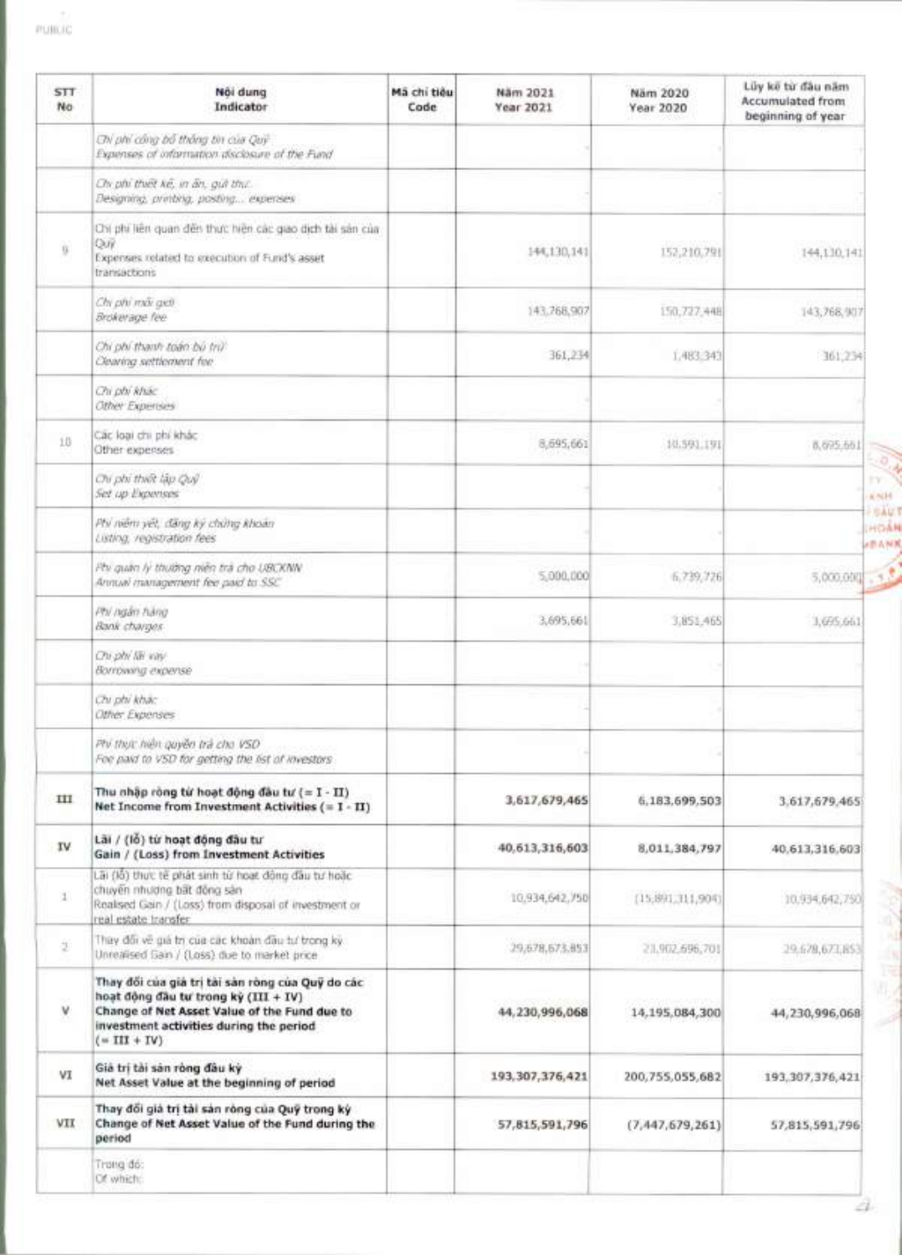| <b>STT</b><br>No. | Nôi dung<br>Indicator                                                                                                                                                                                 | Mã chi tiều<br>Code | Näm 2021<br>Year 2021 | Näm 2020<br>Year 2020 | Lũy kẽ từ đầu năm<br>Accumulated from<br>beginning of year |
|-------------------|-------------------------------------------------------------------------------------------------------------------------------------------------------------------------------------------------------|---------------------|-----------------------|-----------------------|------------------------------------------------------------|
|                   | ON phi công bố thống tin của Quy<br>Expenses of information disclosure of the Fund                                                                                                                    |                     |                       |                       |                                                            |
|                   | Chi phi thiết kế, in ấn, giả thư.<br>Designing, printing, posting expenses                                                                                                                            |                     |                       |                       |                                                            |
| 9                 | Chi phí liên quan đến thực hiện các giao dịch tài sản của<br>Oui<br>Expenses related to execution of Fund's asset<br>transactions                                                                     |                     | 144,130,141           | 152,210,791           | 144,130,141                                                |
|                   | Chr phi mãi geti<br>Brokerage fee                                                                                                                                                                     |                     | 143,768,907           | 150,727,448           | 143,768,907                                                |
|                   | Chi phi thanh toán bù trừ<br>Clearing settlement fee                                                                                                                                                  |                     | 361,234               | 1,483.343             | 361,234                                                    |
|                   | Chi phi khác<br><b>Other Experises</b>                                                                                                                                                                |                     |                       |                       |                                                            |
| 10                | Các loại chi phí khác<br>Other expersies                                                                                                                                                              |                     | 8,695,661             | 10.591.191            | 8,695.661                                                  |
|                   | Chi phi thiết lập Quỹ<br>Set up Experises                                                                                                                                                             |                     |                       |                       | - 6<br>t٧<br>a NH                                          |
|                   | Phi niem yet, dang ky chung khoan<br>Listing, registration fees                                                                                                                                       |                     |                       |                       | <b>DAUT</b><br>HOAN<br><b>ABANK</b>                        |
|                   | Phi quan ly thuiding niên trà cho UBCKNIV<br>Annual management fee paid to SSC                                                                                                                        |                     | 5,000,000             | 6,739,726             | 3.5<br>5,000,000                                           |
|                   | Ptv ngan hang<br>Bank charges                                                                                                                                                                         |                     | 3,695,661             | 3,851,465             | 1,095,661                                                  |
|                   | Chi phi lai vay.<br>Borrowing expertse                                                                                                                                                                |                     |                       |                       |                                                            |
|                   | Chi phi khac<br>Other Expenses                                                                                                                                                                        |                     |                       |                       |                                                            |
|                   | Phi thực hiện quyền trả cho VSD<br>Fee paid to VSD for getting the list of investors.                                                                                                                 |                     |                       |                       |                                                            |
| ш                 | Thu nhập ròng từ hoạt động đầu tư (= I - II)<br>Net Income from Investment Activities $(=I - II)$                                                                                                     |                     | 3,617,679,465         | 6,183,699,503         | 3.617,679,465                                              |
| IV.               | Lãi / (lồ) từ hoạt động đầu tư<br>Gain / (Loss) from Investment Activities                                                                                                                            |                     | 40,613,316,603        | 8,011,384,797         | 40,613,316,603                                             |
| $\mathcal{I}$     | Lãi (lồ) thực tế phát sinh từ hoạt đông đầu tư hoặc<br>chuyển nhương bất động sản<br>Realised Gain / (Loss) from disposal of investment or<br>real estate transfer                                    |                     | 10.934,642,750        | [15:891.311,904]      | 10.934,642,750                                             |
| Ť                 | Thay đổi về giá trị của các khoản đầu tư trong kỳ.<br>Unrealised Gain / (Loss) due to market price                                                                                                    |                     | 29,678,673.853        | 21,902,696,701        | 29.678,673,853                                             |
| ٧                 | Thay đối của giả trị tài sản ròng của Quỹ do các<br>hoạt động đầu tư trong kỳ (III + IV)<br>Change of Net Asset Value of the Fund due to<br>investment activities during the period<br>$(* III + IV)$ |                     | 44, 230, 996, 068     | 14,195,084,300        | 44,230,996,068                                             |
| VI                | Giả trị tài sản ròng đầu kỳ<br>Net Asset Value at the beginning of period                                                                                                                             |                     | 193, 307, 376, 421    | 200,755,055,682       | 193, 307, 376, 421                                         |
| VII               | Thay đối giả trị tài sản ròng của Quỹ trong kỳ<br>Change of Net Asset Value of the Fund during the<br>period                                                                                          |                     | 57,815,591,796        | (7, 447, 679, 261)    | 57,815,591,796                                             |
|                   | Trong do:<br>Of which:                                                                                                                                                                                |                     |                       |                       |                                                            |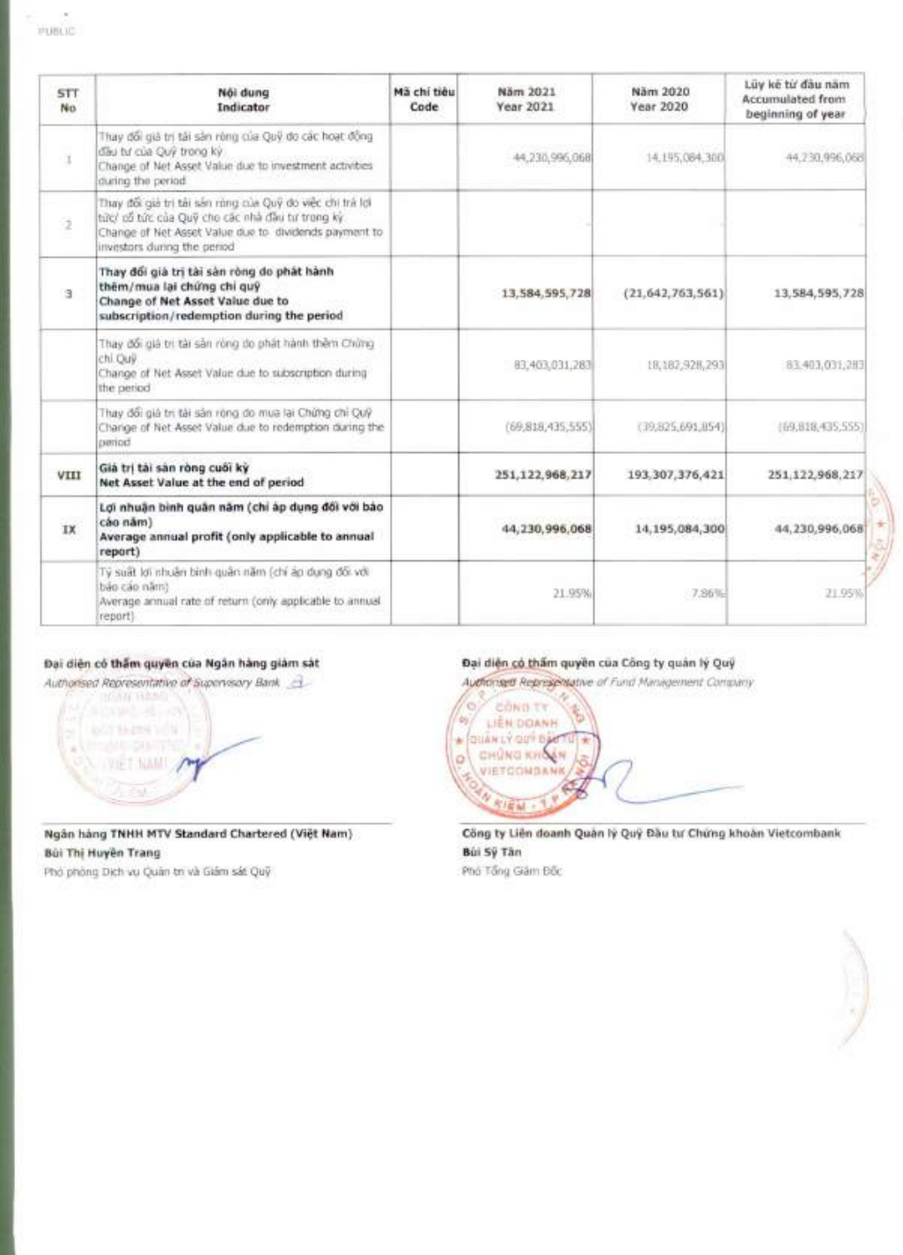| <b>STT</b><br>No. | Nôi dung<br>Indicator                                                                                                                                                                                | Mã chi tiêu<br>Code | Năm 2021<br>Year 2021 | Näm 2020<br>Year 2020 | Lüy ke từ đầu năm<br><b>Accumulated from:</b><br>beginning of year |
|-------------------|------------------------------------------------------------------------------------------------------------------------------------------------------------------------------------------------------|---------------------|-----------------------|-----------------------|--------------------------------------------------------------------|
| ٠x                | Thuy đổi giả trị tải sản ròng của Quỹ do các hoạt động<br>dau tu của Quỹ trong kỳ<br>Change of Net Asset Value due to investment activities<br>during the period.                                    |                     | 44.230.996            | 14, 195, 084, 300     | 44.730.996.068                                                     |
| 9                 | Thay đổi giả trị tài sản rùng của Quỹ do việc chi trà lợi<br>từc/ cổ tức của Quỹ cho các nhà đầu tư trong kỳ<br>Change of Net Asset Value due to dividends payment to<br>investors during the period |                     |                       |                       |                                                                    |
| э                 | Thay đổi giá trị tài sản ròng do phát hành<br>thêm/mua lại chứng chi quỹ<br>Change of Net Asset Value due to<br>subscription/redemption during the period                                            |                     | 13,584,595,728        | (21.642, 763, 561)    | 13, 584, 595, 728                                                  |
|                   | Thay đổi giá trị tài sản ròng do phát hành thêm Chứng<br>chi. Ouv.<br>Change of Net Asset Value due to subscription during<br>the period                                                             |                     | 83,403,031,283        | 18,182,928,293        | 83.403,031,2H3                                                     |
|                   | Thay đổi giá trị tài sản ròng do mua lại Chứng chi Quỹ<br>Change of Net Asset Value due to redemption during the<br>turnior!                                                                         |                     | (69, 818, 435, 555)   | (39,825,691,854)      | (69,618,435,555)                                                   |
| VIII              | Giả trị tài sản ròng cuối kỳ<br>Net Asset Value at the end of period                                                                                                                                 |                     | 251,122,968,217       | 193, 307, 376, 421    | 251,122,968,217                                                    |
| IX                | Lợi nhuận bình quân năm (chỉ áp dụng đối với báo<br>cáo năm)<br>Average annual profit (only applicable to annual<br>report)                                                                          |                     | 44,230,996,068        | 14,195,084,300        | 44,230,996,068                                                     |
|                   | Tý suất lợi nhuận bình quân năm (chỉ áp dụng đối với<br>bão cáo năm).<br>Average annual rate of return (only applicable to annual<br>report)                                                         |                     | 21.95%                | 7.86%                 | 21.95%                                                             |

# Dai **dien c6 than guyen cua Ngan hang giam sat**

Authorised Representative of Supervisory Bank

**MONN HAPP** LipOT SHERN VOM Almodels desirries N I WET NAME O  $\overline{z}$ 

**Ngân hang TNHH MTV Standard Chartered (Việt Nam)** Bui **Thi HuYen Trang** 

Phó phòng Dich vu Quản tri và Giám sát Quỹ

# Đại diện có thẩm quyền của Công ty quản lý Quỹ

Authorisett Representative of Fund Management Company



Công ty Liên doanh Quân lý Quý Đầu tư Chứng khoản Vietcombank **80i Sy Tan**  Phó Tổng Giám Đốc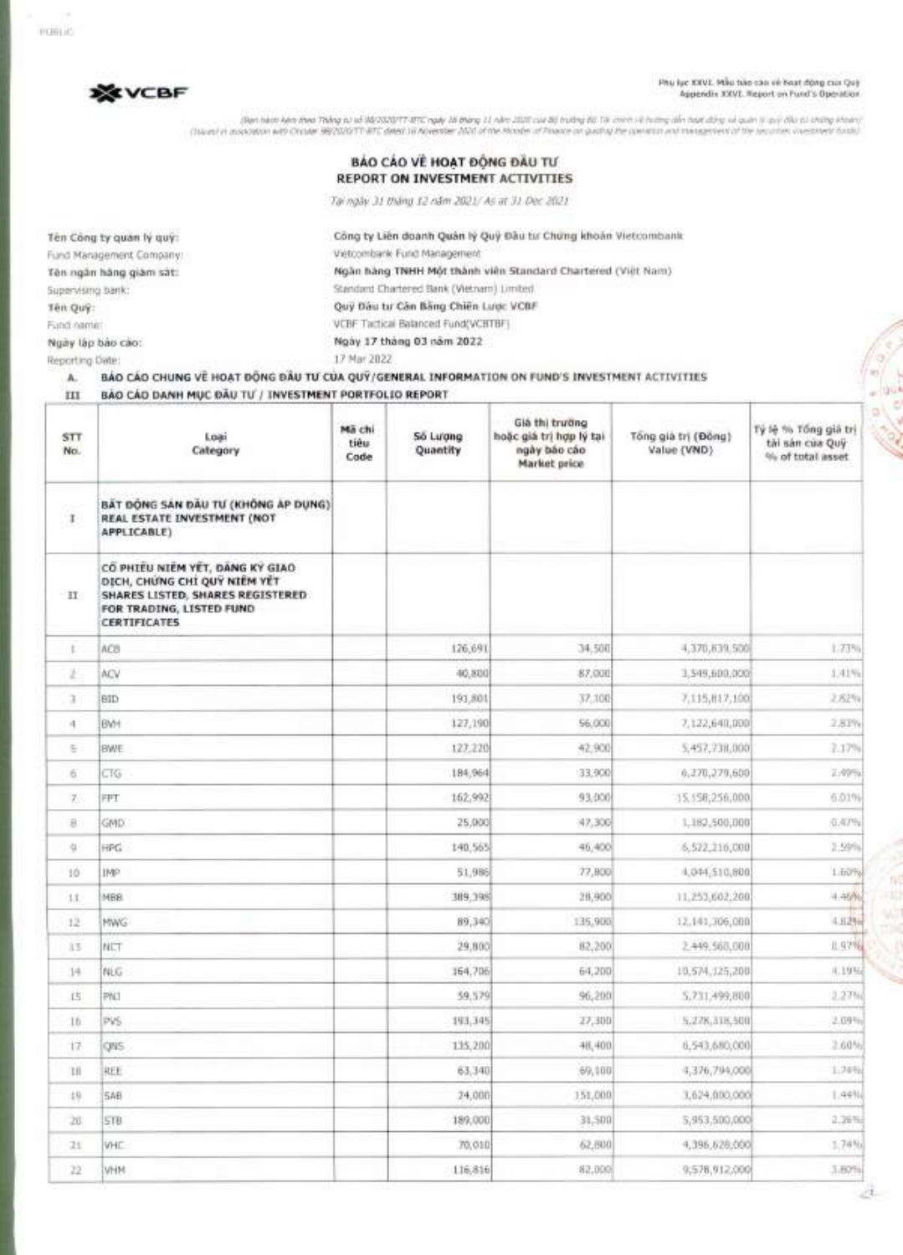PUBLIC

**Fru SEV VCBF** Phy lyc XXVI. Mile take the case of boat dong cus Quy<br>Appendix XXVI. Report on Fund's Operation

The hard left that Thing is in 182020177-1712. The Mary 11 shits can be builted in once in this grin that data by in pair of the thing the change in the second the second outlet the second outlet is the second outlet in th

Công ty Liên doanh Quân lý Quý Đầu tư Chứng khoản Vietcombank

**Ngan hang TNHH Met thanh vien Standard Chartered (Viet Nam)** 

|  | <b>BAO CAO VE HOAT DONG DAU TU</b> |
|--|------------------------------------|
|  | REPORT ON INVESTMENT ACTIVITIES.   |

Tai *ngay 31 thang 12 nem 2021/ As at 31 Dec 2021* 

Standard Chartered Bank (Vietnam) Limited **Qui Dau tu' Can Bang Chien Lack VCBF**  VCBF Tactical Balanced Fund(VCBTBF)

**Ten Ong ty guar' ly guy:**  Fund Management Company: **Ten ngan hang giam sat:**  Supervising bank: **Ten Quy:**  Fund name: **Ngay lap bao cao: Ngay 17 thang 03 nam 2022** 

Reporting Date: 17 Mar 2022

Vietcombank Fund Management

# A. BAO cAo **CHUNG VE HOAT DONG** DAU TII **CCIA QUV/GENERAL INFORMATION ON FUND'S INVESTMENT ACTIVITIES**

**III BAO CAO DANH** myc DAU / **INVESTMENT PORTFOLIO REPORT** 

| STT.<br>No.    | Loai<br>Category                                                                                                                                 | Mã chi<br>tiêu<br>Code | Số Lượng<br>Quantity | Giá thi trường<br>hoặc giá trị hợp lý tại<br>ngày báo cáo<br>Market price | Tông già trị (Đông)<br>Value (VND) | Tý lệ % Tổng giả trị<br>tài sản của Quỹ<br>% of total asset |
|----------------|--------------------------------------------------------------------------------------------------------------------------------------------------|------------------------|----------------------|---------------------------------------------------------------------------|------------------------------------|-------------------------------------------------------------|
| $\Gamma$       | BẤT DỘNG SẢN ĐẦU TƯ (KHÔNG ÁP DỤNG)<br>REAL ESTATE INVESTMENT (NOT<br>APPLICABLE)                                                                |                        |                      |                                                                           |                                    |                                                             |
| $\mathbb{H}$   | CO PHIEU NIEM YET, DANG KY GIAO<br>DICH, CHUNG CHI QUY NIEM YET<br>SHARES LISTED, SHARES REGISTERED.<br>FOR TRADING, LISTED FUND<br>CERTIFICATES |                        |                      |                                                                           |                                    |                                                             |
| ţ.             | ACB                                                                                                                                              |                        | 126,691              | 34,500                                                                    | 4,370,839,500                      | 1.73%                                                       |
| ž              | ACV                                                                                                                                              |                        | 40,800               | 87,000                                                                    | 3,549,600,000                      | 1.41%                                                       |
| x              | BID                                                                                                                                              |                        | 193,801              | 37,100                                                                    | 7,115,817,100                      | 2.82%                                                       |
| 4              | BM <sup>+</sup>                                                                                                                                  |                        | 127,190              | 56,000                                                                    | 7,122,640,000                      | 2.83%                                                       |
| Ε              | <b>BWE</b>                                                                                                                                       |                        | 127,220              | 42.900                                                                    | 5,457,7311,000                     | 2.17%                                                       |
| 6              | CTG                                                                                                                                              |                        | 184,964              | 33,900                                                                    | 6,270,279,600                      | 2.49%                                                       |
| 7.             | FFT                                                                                                                                              |                        | 162,992              | 93.000                                                                    | 15, 158, 256, 000.                 | 6.01%                                                       |
| 8              | GMD.                                                                                                                                             |                        | 25,000               | 47,300                                                                    | 1,182,500,000                      | 0.47%                                                       |
| $\mathbf{u}$   | HPG                                                                                                                                              |                        | 140.565              | 46,400                                                                    | 6,522,216,000                      | $2 - 50$ <sup>c</sup>                                       |
| 10             | IMP                                                                                                                                              |                        | 51,986               | 77,800                                                                    | 4,044,510,800                      | 1.60%                                                       |
| 11             | MBB                                                                                                                                              |                        | 389,398              | 28,900                                                                    | 11,253,602,200                     | 4.46%                                                       |
| 12             | MWG                                                                                                                                              |                        | 89,340               | 135,900                                                                   | 12.141,306,000                     | 4.82%                                                       |
| 13             | NLT                                                                                                                                              |                        | 29,800               | 82,200                                                                    | 2.449.560,000                      | 0.97%                                                       |
| 14             | NLG                                                                                                                                              |                        | 164,706              | 64,200                                                                    | 10,574,125,208                     | 4.19%                                                       |
| 15             | PN1                                                                                                                                              |                        | 59.579               | 96,200                                                                    | 5,731,499,800                      | 3.27%                                                       |
| 16 <sup></sup> | PVS                                                                                                                                              |                        | 193,345              | 27,300                                                                    | 5,278,318,500                      | 2.09%                                                       |
| 17.            | QNS                                                                                                                                              |                        | 135,200              | 48,400                                                                    | 6,543,680,000                      | 2.60%                                                       |
| 18             | REE                                                                                                                                              |                        | 63,340               | 69,100                                                                    | 4,376,794,000                      | 1,74%                                                       |
| 19.            | <b>SAB</b>                                                                                                                                       |                        | 24,000               | 151,000                                                                   | 1,624,000,000                      | 1.44%                                                       |
| 20.            | STB                                                                                                                                              |                        | 189,000              | 31,500                                                                    | 5,953,500,000                      | 2,36%                                                       |
| 21             | VHC                                                                                                                                              |                        | 70,010               | 62,800                                                                    | 4,395,628,000                      | 1.74%                                                       |
| 22             | VHM                                                                                                                                              |                        | 116,816              | 82,000                                                                    | 9,578,912,000                      | 3,80%                                                       |

 $22 -$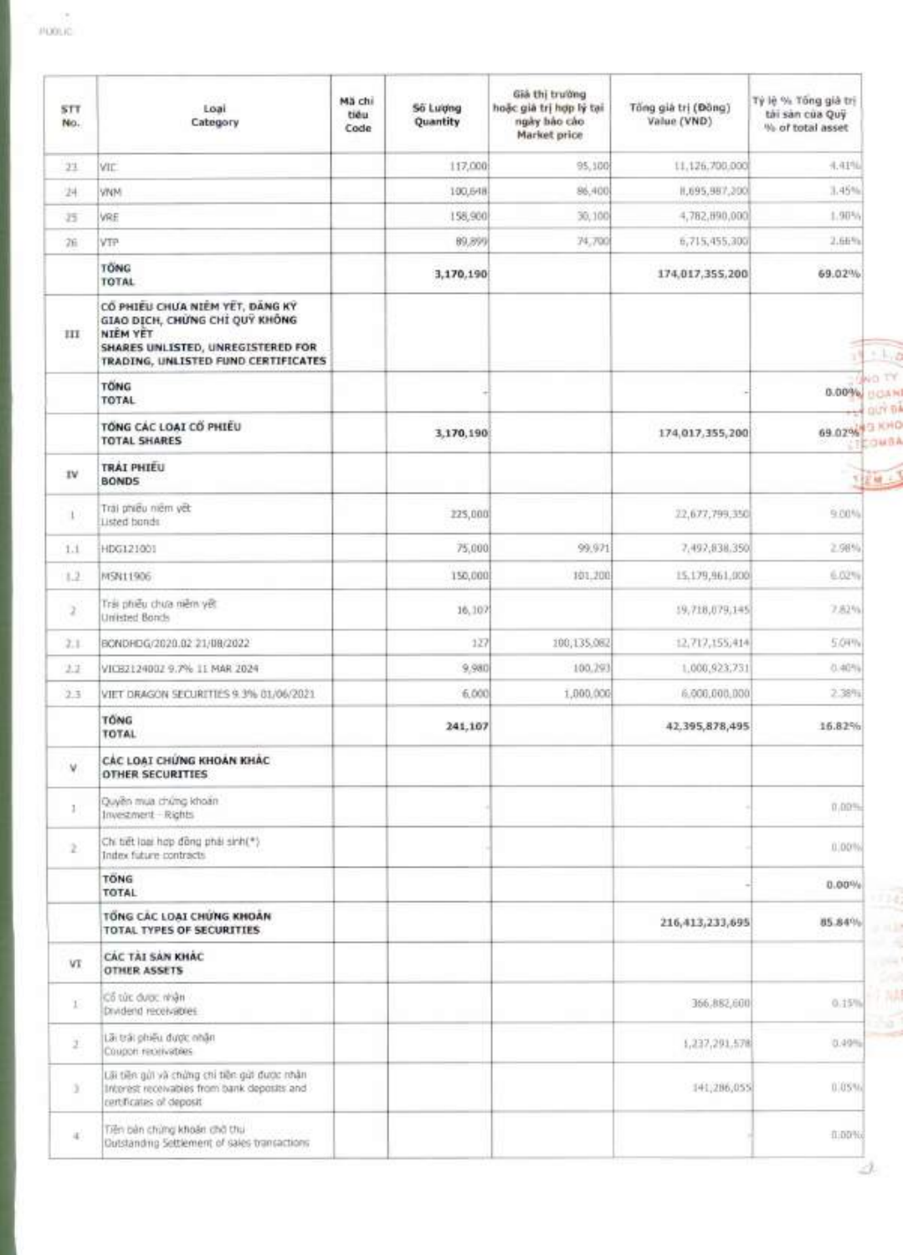|  | <b>Light</b> |    |   |  |
|--|--------------|----|---|--|
|  |              | ñ. | m |  |

| STT.<br>No.  | Loai<br>Category                                                                                                                                                 | Mã chi<br>tiéu<br>Code | <b>Số Lượng</b><br>Quantity | Già thị trường<br>hoặc giá trị hợp lý tại<br>ngày bảo cáo<br>Market price | Tổng giả trị (Đồng)<br>Value (VND) | Tỷ lệ % Tông giả trị<br>tài sản của Quỹ<br>% of total asset |
|--------------|------------------------------------------------------------------------------------------------------------------------------------------------------------------|------------------------|-----------------------------|---------------------------------------------------------------------------|------------------------------------|-------------------------------------------------------------|
| 23.          | <b>VIC</b>                                                                                                                                                       |                        | 117,000                     | 95,100                                                                    | 11,126,700,000                     | 4.41%                                                       |
| 24           | <b>VINN</b>                                                                                                                                                      |                        | 100,648                     | 86,400                                                                    | 8,695,987,200                      | 3.45%                                                       |
| 35           | VRE                                                                                                                                                              |                        | 158,900                     | 30,100                                                                    | 4,782,890,000                      | 1.90%                                                       |
| 26           | VTP                                                                                                                                                              |                        | 89,899                      | 74,700                                                                    | 6,715,455,300                      | 2.66%                                                       |
|              | <b>TONG</b><br>TOTAL                                                                                                                                             |                        | 3,170,190                   |                                                                           | 174,017,355,200                    | 69.02%                                                      |
| ш            | CÓ PHIEU CHƯA NIÊM YẾT, DÀNG KÝ<br>GIAO DICH, CHUNG CHI QUY KHÔNG<br><b>NIÊM YET</b><br>SHARES UNLISTED, UNREGISTERED FOR<br>TRADING, UNLISTED FUND CERTIFICATES |                        |                             |                                                                           |                                    |                                                             |
|              | <b>TONG</b><br>TOTAL                                                                                                                                             |                        |                             |                                                                           |                                    | $0.00\%$                                                    |
|              | TONG CAC LOAT CO PHIEU<br><b>TOTAL SHARES</b>                                                                                                                    |                        | 3,170,190                   |                                                                           | 174,017,355,200                    | 69.02%                                                      |
| IV.          | TRAI PHIEU<br><b>BONDS</b>                                                                                                                                       |                        |                             |                                                                           |                                    | 自定線と                                                        |
| ı            | Trai phiêu niêm yết<br>Listed bonds                                                                                                                              |                        | 225,000                     |                                                                           | 22,677,799,350                     | $9.00\%$                                                    |
| 1.1          | HDG121001                                                                                                                                                        |                        | 75,000                      | 99.971                                                                    | 7,492,838.350                      | 2,98%                                                       |
| 1.2          | MSN11906                                                                                                                                                         |                        | 150,000                     | 101,200                                                                   | 15.179,961,000                     | 6.02%                                                       |
| 2            | Tris phiếu chưa niêm yết<br>Unitsted Bonds                                                                                                                       |                        | 16,107                      |                                                                           | 19,718,079,145                     | 7.82%                                                       |
| 2.1          | BONDRDG/2020.02 21/08/2022                                                                                                                                       |                        | 127                         | 100,135,082                                                               | 12,717,155,414                     | 5.04%                                                       |
| 2.2          | VICE2124002 9.7% II MAR 2024                                                                                                                                     |                        | 9.980                       | 100,293                                                                   | 1,000,923,731                      | 0.40%                                                       |
| 2.3          | VIET DRAGON SECURITIES 9.3% 01/06/2021                                                                                                                           |                        | 6,000                       | 1,000,000                                                                 | 6.006,000,000                      | 2.38%                                                       |
|              | TÓNG<br>TOTAL                                                                                                                                                    |                        | 241,107                     |                                                                           | 42.395,878,495                     | 16,82%                                                      |
| v.           | CÁC LOAT CHỨNG KHOAN KHÁC<br><b>OTHER SECURITIES</b>                                                                                                             |                        |                             |                                                                           |                                    |                                                             |
| $\mathbb{I}$ | Quyền mua chứng khoản<br>Investment Rights                                                                                                                       |                        |                             |                                                                           |                                    | 0.00%                                                       |
| $\geq$       | Chi tiết loại hợp đồng phái sinh(*)<br>Index future contracts                                                                                                    |                        |                             |                                                                           |                                    | 0.00%                                                       |
|              | <b>TONG</b><br>TOTAL                                                                                                                                             |                        |                             |                                                                           |                                    | $0.00\%$                                                    |
|              | TONG CAC LOAI CHUNG KHOAN<br>TOTAL TYPES OF SECURITIES                                                                                                           |                        |                             |                                                                           | 216,413,233,695                    | 85.84%                                                      |
| VT           | CÁC TAI SAN KHÁC<br><b>OTHER ASSETS</b>                                                                                                                          |                        |                             |                                                                           |                                    |                                                             |
| T.           | Cổ từc được nhận<br>Drudend receivables                                                                                                                          |                        |                             |                                                                           | 366,882,600                        | 0.15%                                                       |
| ž.           | Lãi trái phiếu được nhân<br>Coupon receivatives                                                                                                                  |                        |                             |                                                                           | 1,237,291,578                      | 0.49%                                                       |
| x            | Lãi tiên giới và chứng chi tiên giờ được nhận<br>Interest receivables from bank deposits and<br>certificates of deposit-                                         |                        |                             |                                                                           | 141,286,055                        | 0.05%                                                       |
| ą,           | Tiên bản chứng khoản chở thu<br>Outstanding Settlement of sales transactions                                                                                     |                        |                             |                                                                           |                                    | <b>在100%d</b>                                               |

21.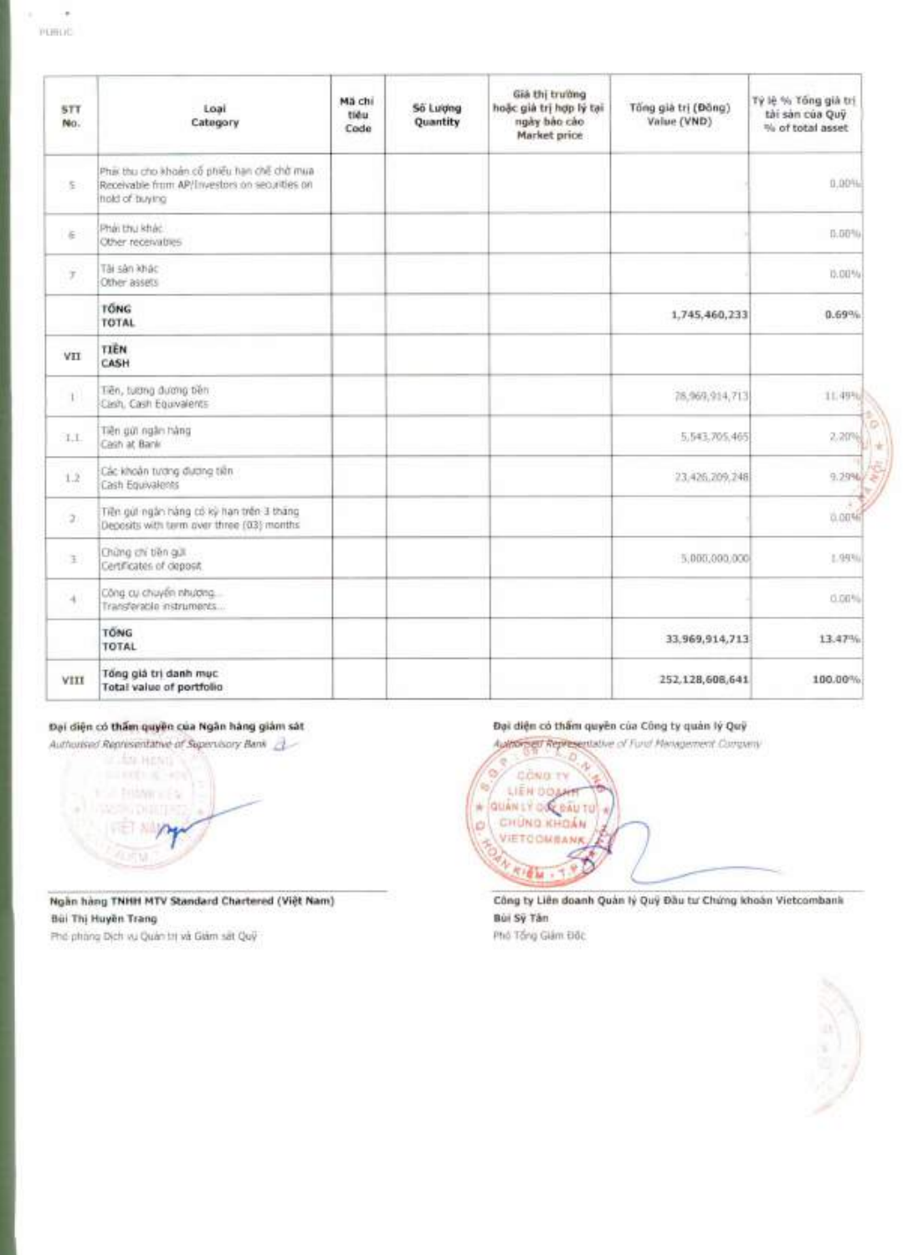| 5TT<br>No.   | Loai<br>Category                                                                                               | Mã chi<br>tiéu<br>Code | <b>Số Lượng</b><br>Quantity | Già thị trường<br>hoặc giá trị hợp lý tại<br>ngày bảo cáo<br>Market price | Tổng già trị (Đồng)<br>Value (VND) | Tỳ iệ % Tổng già trị<br>tài sản của Quỹ<br>% of total asset |
|--------------|----------------------------------------------------------------------------------------------------------------|------------------------|-----------------------------|---------------------------------------------------------------------------|------------------------------------|-------------------------------------------------------------|
| $\Sigma$     | Phái thu cho khoản cổ phiếu hạn chế chở mua<br>Receivable from AP/Investors on securities on<br>hold of buying |                        |                             |                                                                           |                                    | 0.00%                                                       |
| $\in$        | Phải thu khác<br>Other receivables                                                                             |                        |                             |                                                                           |                                    | 0.00%                                                       |
| Ÿ,           | Tài sàn khác<br>Other assets                                                                                   |                        |                             |                                                                           |                                    | 15.00%                                                      |
|              | <b>TÓNG</b><br><b>TOTAL</b>                                                                                    |                        |                             |                                                                           | 1,745,460,233                      | 0.69%                                                       |
| VII          | <b>TIÊN</b><br>CASH                                                                                            |                        |                             |                                                                           |                                    |                                                             |
| $\mathbf{L}$ | Tiên, tuơng đương bên<br>Cash, Cash Equivalents                                                                |                        |                             |                                                                           | 78,969,914,713                     | 11.49%                                                      |
| 1.1.         | Tiền qui ngân hàng<br>Cash at Bank                                                                             |                        |                             |                                                                           | 5.543.705.465                      | 2.20%                                                       |
| 1.2          | Các khoản tương đương tiền<br>Cash Equivalents                                                                 |                        |                             |                                                                           | 23,426,209,248                     | 9.2996                                                      |
| 2.1          | Tiên gút ngân hàng có kỳ hạn trên 3 tháng<br>Deposits with tarm over three (03) months                         |                        |                             |                                                                           |                                    | 0.00%                                                       |
| $\pm$        | Chứng chi tiên giát<br>Certificates of deposit                                                                 |                        |                             |                                                                           | 5.000,000.000                      | 1,94%                                                       |
| 41           | Công cụ chuyển nhương<br>Transferable instruments                                                              |                        |                             |                                                                           |                                    | 0.00%                                                       |
|              | <b>TONG</b><br>TOTAL                                                                                           |                        |                             |                                                                           | 33,969,914,713                     | 13.47%                                                      |
| VIII         | Tổng giá trị danh mục<br>Total value of portfolio                                                              |                        |                             |                                                                           | 252.128,608,641                    | 100.00%                                                     |

# **Doi dien co them guyin cua Ngan hang giam sat**

Authorised Representative of Supervisory Bank



**Ngan hang TNHH MTV Standard Chartered (Viet Nam)**  Bui **Thi Huyen Trang** 

Ph6 phang Dich vu Quan tri va Giam sat Qu9

**dien co them guyen cua Cling ty quan ly QuY** 

A tation of Fund Management Company



Công ty Liên doanh Quản lý Quý Đầu tư Chứng khoản Vietcombank Bui **Sy Tan** 

Phó Tổng Giám Độc

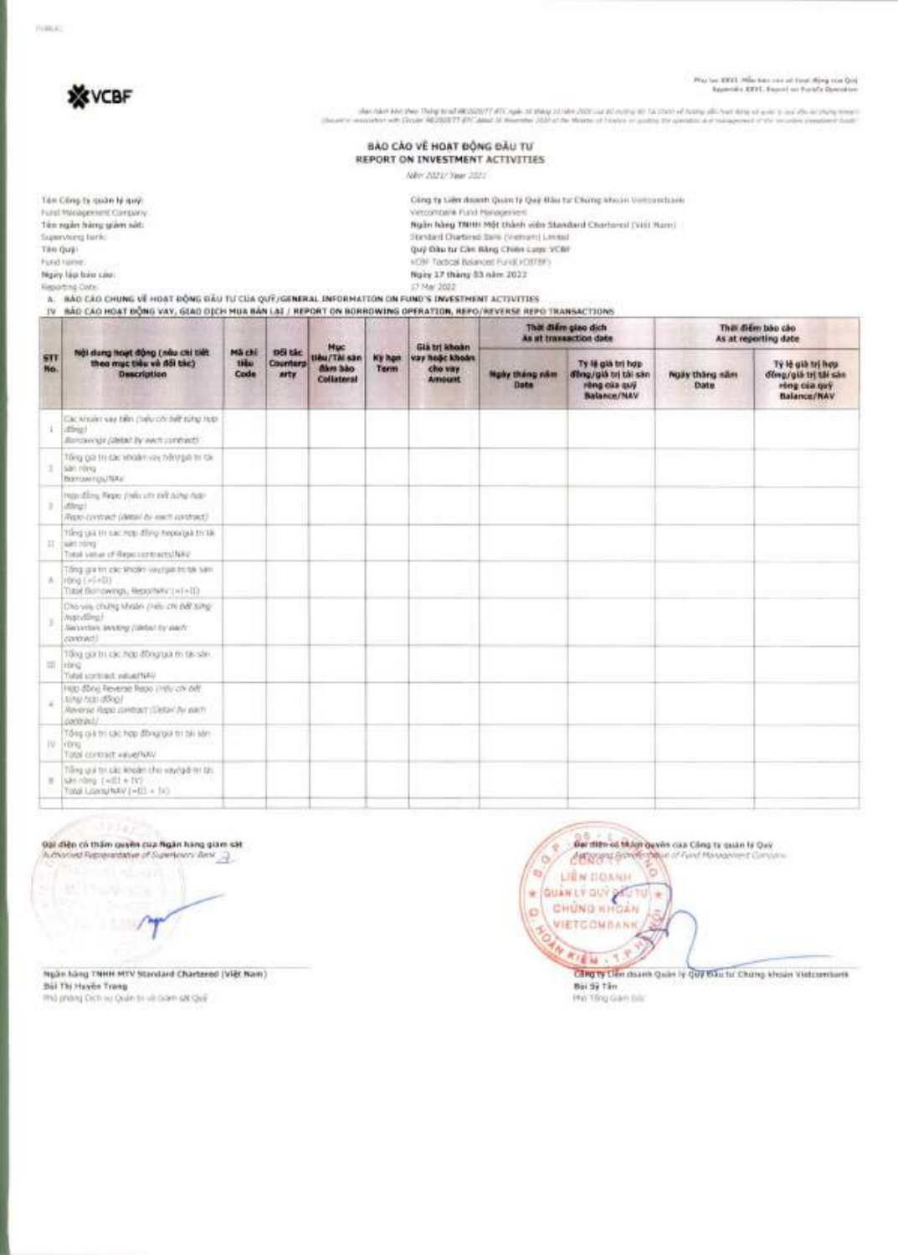NWA

# **XX** VCBF

Play fan 2002. Maa has san sel tsyn Afriq san Qui.<br>Asymmetr XXVI, Easterlan Porto Demokrat

she had his the Tony tradition(IT) (DC spin statey state data as at sump to take to design do too hours out to a show my me<br>exciter with Days 16/2011/11 (PC apar 3) thereby (also a them of holes in quick as gention a magin **Charles of** 

#### BẢO CÁO VỀ HOẠT ĐỘNG ĐẦU TƯ REPORT ON INVESTMENT ACTIVITIES

New 2021/ Year 2021

| Cling to Libs down Quan b Dee Blu to Ching khoon Vestondoris                   |
|--------------------------------------------------------------------------------|
| Vittoonbalk Fund Hansgestern                                                   |
| Ngàn hàng TNHH Một thành viên Standard Chartereal (Vitil Nam)                  |
| Standard Chartered Bare (Vetrum) Lented<br>and the contract of the contract of |
| Quy Dau tu Can Bàng Chiên Lutz: YCBF                                           |
| VON Tactical Balanced Purell (OTTRE)                                           |
| Nory 17 thang 63 nam 2022                                                      |
| ACTIVITY AND INTERNATIONAL                                                     |
|                                                                                |

A. BÁO CÁO CHUNG Về HOẠT ĐỘNG ĐẦU Từ CỦA QUÝ/GENERAL INFORMATION ON FUND'S INVESTMENT ACTIVITIES

## IV BÃO CÃO HOAT BÔNG VAY, GIAO OICH MUA BÁN LAI / REPORT ON BORROWING OPERATION, REPO/REVERSE REPO TRANSACTIONS

|                        |                                                                                                                        |                               |                                     | <b>Muc</b>                                   |                       | Già tri khoàn                               |                        | Thời điểm giao dịch<br>As at transaction date                                  | This diem bao cao<br>As at reporting date |                                                                          |
|------------------------|------------------------------------------------------------------------------------------------------------------------|-------------------------------|-------------------------------------|----------------------------------------------|-----------------------|---------------------------------------------|------------------------|--------------------------------------------------------------------------------|-------------------------------------------|--------------------------------------------------------------------------|
| STI<br>No.             | Nội dung hoạt động (nấu chi tiết<br>theo muc tiêu và đối tác)<br><b>Description</b>                                    | <b>Mã chi</b><br>tidu<br>Code | <b>Dői tác</b><br>Counterp<br>arty. | nex ikT/ušit<br><b>dám bão</b><br>Collateral | <b>Ky han</b><br>Term | vay hoặc khoản<br>cho vay<br><b>Armount</b> | Ngly thing råm<br>Date | Ty là già trì hợp<br>ding/giá trị tài sán<br>Hop cia quy<br><b>Balance/NAV</b> | Now thing nim<br>Date:                    | Tý lệ già trị hợp<br>döng/glá tri tái sán<br>rông của quỹ<br>Balance/NAV |
| ı.                     | Cac known vay been presured debt some max-<br>(different)<br>Jillamovenge (aletail by wech contract)."                 |                               |                                     |                                              |                       |                                             |                        |                                                                                |                                           |                                                                          |
|                        | Tổng giá trị các khóán vay hằng giá trị tái<br>san rovia<br>Borrowings/NAv.                                            |                               |                                     |                                              |                       |                                             |                        |                                                                                |                                           |                                                                          |
| ×                      | man diley, Pepo (who city to it why hav-<br>direct<br>Repo contract (date) As each contract?                           |                               |                                     |                                              |                       |                                             |                        |                                                                                |                                           |                                                                          |
| $\overline{\text{11}}$ | Time us a tit six: mep dling nepocyal tit lik-<br>san rong<br>Total value of Reporterment NAV                          |                               |                                     |                                              |                       |                                             |                        |                                                                                |                                           |                                                                          |
| $\pm$                  | Ting gains circles warrantee sen-<br>Which End a EEE<br>Tital Berrowings, Reportery (=1+11)                            |                               |                                     |                                              |                       |                                             |                        |                                                                                |                                           |                                                                          |
|                        | Dho yes chung Miglin (New div bet sing-<br><b>Water different</b><br>Securities lending comed by electri-<br>contract) |                               |                                     |                                              |                       |                                             |                        |                                                                                |                                           |                                                                          |
| $\frac{1}{2}$          | Tião a gra tra các hợp đồng quá m tác sản<br><b>Trishi</b><br>Tidal sortings reliabilities                             |                               |                                     |                                              |                       |                                             |                        |                                                                                |                                           |                                                                          |
| ×                      | Hop done Reverse Repo 21th/ chi bill!<br>Alma cars almost<br>Reverse Happ contract (Detail by party<br>contract?       |                               |                                     |                                              |                       |                                             |                        |                                                                                |                                           |                                                                          |
| IV.                    | Tổng giả trị Lác hợp đồng giá trị bii jiên<br>I none<br>Website thermos look 1                                         |                               |                                     |                                              |                       |                                             |                        |                                                                                |                                           |                                                                          |
|                        | Tổng giá trí các khoản cho vay/giá trí tát.<br>site rims (will +1k)<br>Total Liberal MARY (=03) + (x3)                 |                               |                                     |                                              |                       |                                             |                        |                                                                                |                                           |                                                                          |
|                        |                                                                                                                        |                               |                                     |                                              |                       |                                             |                        |                                                                                |                                           |                                                                          |

### 92/ diện có thầm quyền của figân hàng giam sát.

17347

**COMPANY** 

Ngàn hàng TNHH MTV Standard Chartered (Việt Nam) Ball Thi Huyền Trang Imà priòre) Dichieu Quán te và ciam sat quel

Der ritten od filden gemin caa Cling tu quan ti Ovir CERS's Good open of First Massenger Co- $\infty$ ъ  $25$ LIEN DOANH E QUÂN LÝ QUÝ SÁGTU × ø **VIETCOMBANK** RO è MAIN . T. Z Cang by Life deans Quan by Quy Bas for Chang kinsin Vistcombers

Bái 97 Tân Pho Tông Gian bit: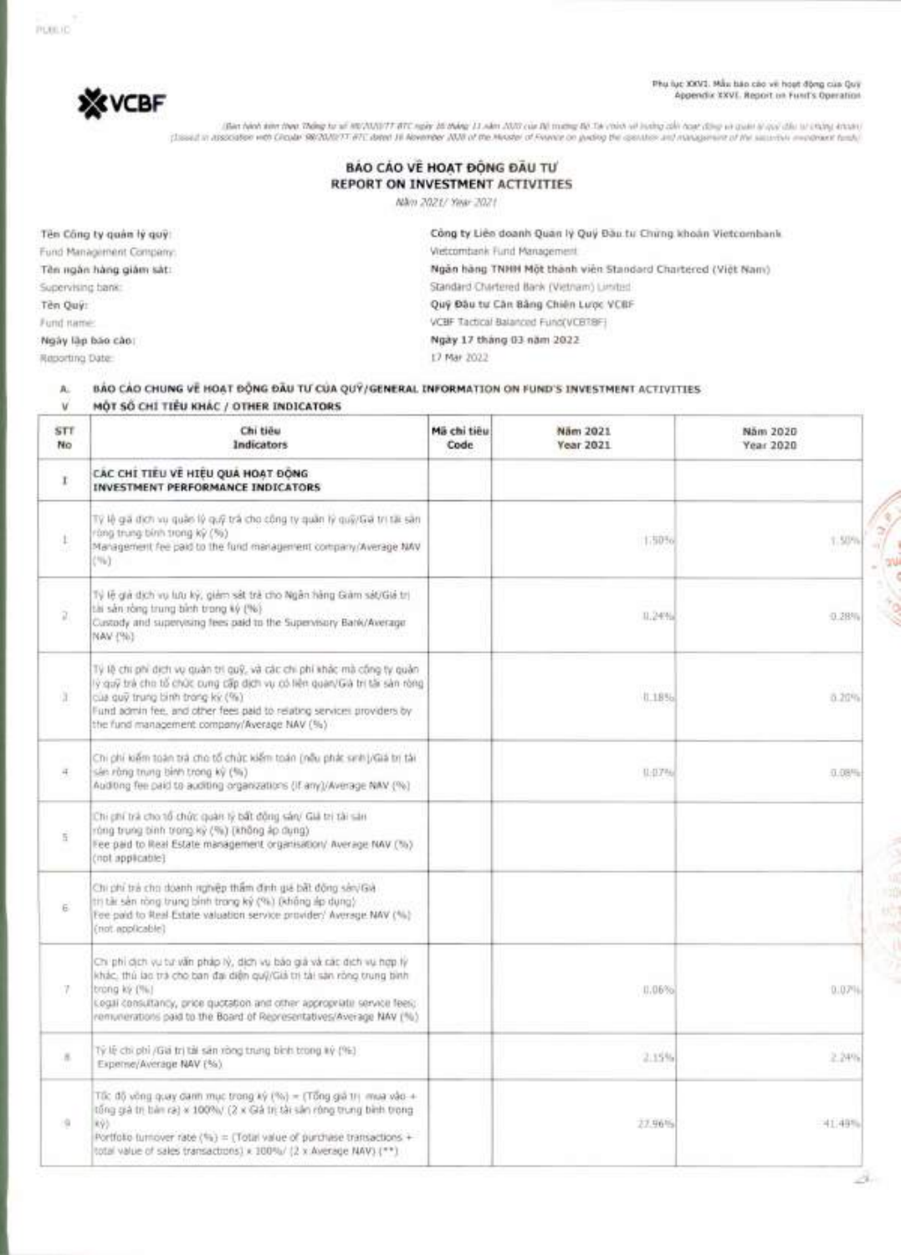Phu luc XXVI. Mau ban cao ye hoot Ong cua Qay Appendix XXVI. Report on Fund's Operation

**\*VCBF** 

ותגרה נמגדי הוא האלו יהוד ההולט את הלכולות היה לכל הם שמות (Illan Mah) להם הקולט להם "Illan Mah) להם שלה הוא ה<br>"Issuit is associated with Choule 98/2010/T-87C dated III Abrender 2016 of the Mission of France or pedias tha

| <b>BAO CAO VE HOAT DONG DAU TU</b> |
|------------------------------------|
| REPORT ON INVESTMENT ACTIVITIES.   |
|                                    |

Nam 2021/ Year 2021

**Ten Cong ty guar' II guy:**  Fund Management Company: Tên ngân hàng giảm sát: Supervising bank: **Ten Qui:**  Fund name:

**Ngay lap bao car,:** 

PUBLIC

Reporting Date:

Công ty Liên doanh Quan Iy Quy Đàu tu Chirng khoản Vietcombank Vietcombank Fund Management **Ngan hang TNHH Mat thanh vien Standard Chartered (Viet Nam)**  Standard Chartered Bank (Vietnam) Limited Quy Dau tu Can Bang Chien Luipe VCBF VCBF Tactical Balanced Fund(VCBTBF)

**Ngay 17 thing 03 nam 2022**  17 Mar 2022

| BÁO CÁO CHUNG VỀ HOẠT ĐỘNG ĐẦU TƯ CỦA QUÝ/GENERAL INFORMATION ON FUND'S INVESTMENT ACTIVITIES |  |
|-----------------------------------------------------------------------------------------------|--|
| MÔT SỐ CHÍ TIÊU KHÁC / OTHER INDICATORS                                                       |  |

| STT<br>No     | Chi tiêu<br>Indicators                                                                                                                                                                                                                                                                                                        | Mã chi tiêu<br>Code | Näm 2021<br>Year 2021 | Nam 2020<br>Year 2020 |
|---------------|-------------------------------------------------------------------------------------------------------------------------------------------------------------------------------------------------------------------------------------------------------------------------------------------------------------------------------|---------------------|-----------------------|-----------------------|
| r             | CÁC CHÍ TIÊU VỀ HIỆU QUÁ HOẠT ĐỘNG<br>INVESTMENT PERFORMANCE INDICATORS                                                                                                                                                                                                                                                       |                     |                       |                       |
| $\mathbbm{1}$ | Tý lệ gã đích vụ quậc lý quỹ trà cho công ty quân lý quỹ/Gã trị tặt sản<br>ròng trung bình trong kỳ (%)<br>Management fee paid to the fund management company/Average NAV<br>CNW31                                                                                                                                            |                     | 1.50%                 | 1.50%                 |
| ū.            | Tý lễ giá dịch vụ lưu kỳ, giảm sát trẻ cho Ngân hàng Giảm sát/Giá trị<br>tài sản ròng trung bìch trong ký (%).<br>Custody and supervising fees paid to the Supervisory Bark/Average.<br>NAV (%)                                                                                                                               |                     | 0.24%                 | 0.28%                 |
| ü.            | Tý lệ chi phi dịch vụ quản trí quỹ, và các chi phí khác mà công ty quản<br>lý guỹ trà cho tổ chức cung cấp địch vụ có liên quan/Gà trị tấi sản ròng<br>của quỹ trung bình trong kỳ (%):<br>Fund admin fee, and other fees paid to relating services providers by<br>the fund management company/Average NAV (%)               |                     | 11856                 | 8.20%                 |
| 4             | Chi phí kiếm toán trả cho tổ chức kiếm toán (nếu phát sinh)/Giá bị tái<br>sán ròng trung bình trong kỳ (%)<br>Auditing fee paid to auditing organizations (If any)/Average NAV (%)                                                                                                                                            |                     | (1.1776)              | $0.08\%$              |
| Ŧ             | Chi ghi trà cho tổ chức quản lý bất đông sản/ Giá trị tài sản<br>rùng trung bình trong kỳ (%) (không áp dụng)<br>Fee paid to Real Estate management organisation/ Average NAV (%)<br>(not applicable)                                                                                                                         |                     |                       |                       |
| E.            | Chi phi trà cho doanh righiệp thầm định qia bất động sán/Già<br>th tài sản ròng trung bình trong kỳ (%) (không áp dụng)<br>Fee paid to Real Estate valuation service provider/ Average NAV (%)<br>(not applicable)                                                                                                            |                     |                       |                       |
| 7             | Chi phi dịch vụ tư văn pháp lý, dịch vụ bảo giả và các địch vụ hợp lý<br>khác, thú lạc trà cho ban đại diện quỹ/Giả trị tài sản ròng trung bình<br>trong ky (%)<br>Legal consultancy, price quotation and other appropriate service feel;<br>remunerations paid to the Board of Representatives/Average NAV (%).              |                     | 11.06%                | 0.07%                 |
| 8             | Tý lệ chi phi /Gia trị tài sản ròng trưng bình trong kỳ (%)<br>Experie/Average NAV (%)                                                                                                                                                                                                                                        |                     | 2.15%                 | 2.24%                 |
| i li          | Tốc độ vông quay danh mục trong ký (%) = (Tông giả trị mua vào +<br>tổng giá trị bản ra) x 100%/ (2 x Giá trị tài sản rông trung bình trong<br>R93<br>Portfolio turnover rate $\langle \tilde{\tau}_0 \rangle$ = (Total value of purchase transactions +<br>total value of sales transactions) x 100%/ (2 x Average NAV) (**) |                     | 27.96%                | 41.49%                |

 $10^{-4} - \frac{9}{6}$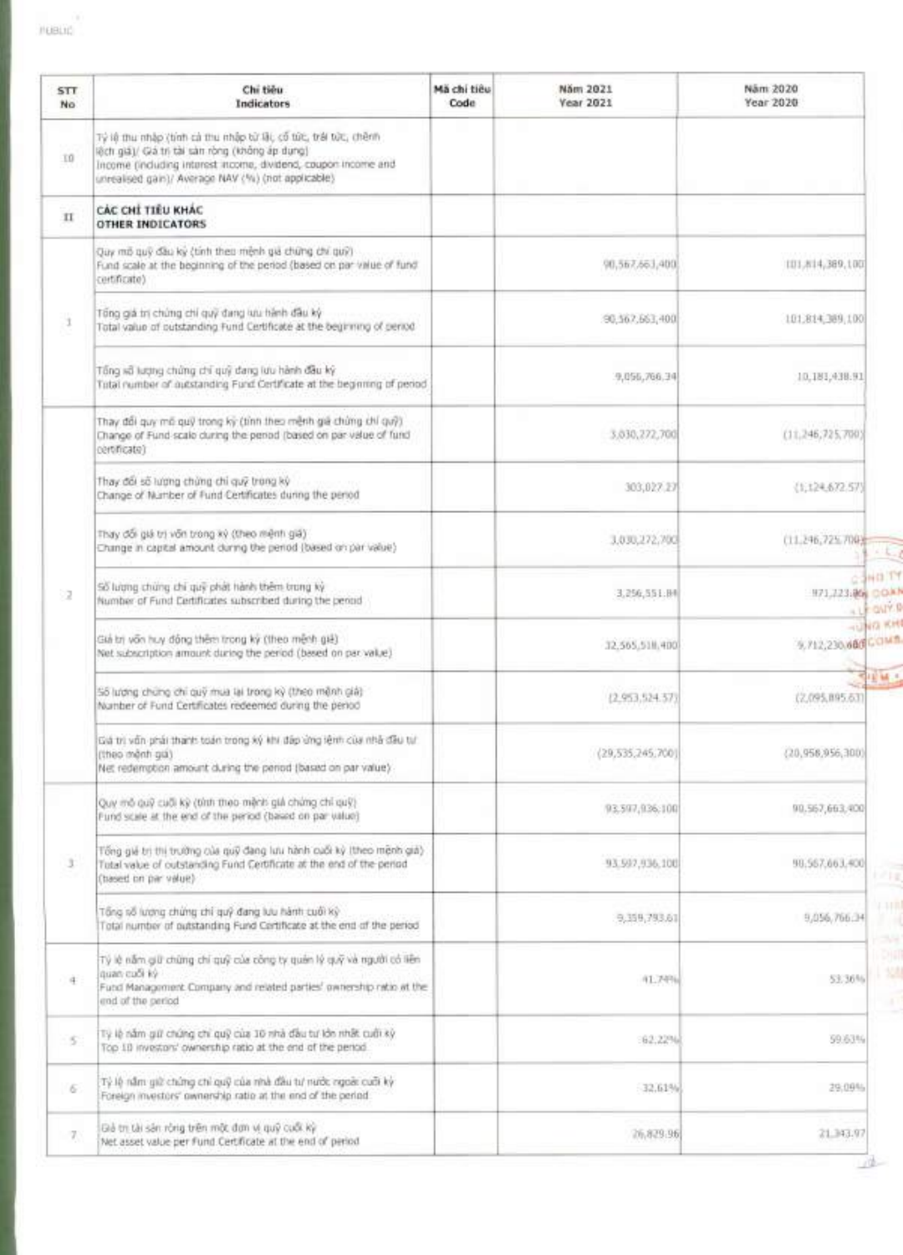| STT.<br>No. | Chi tiêu<br>Indicators                                                                                                                                                                                                                      | Mã chi tiêu<br>Code | Năm 2021<br><b>Vear 2021</b> | Näm 2020<br>Year 2020                   |
|-------------|---------------------------------------------------------------------------------------------------------------------------------------------------------------------------------------------------------------------------------------------|---------------------|------------------------------|-----------------------------------------|
| 10          | Tỷ lệ thu nhập (tinh cả thu nhập từ lật, cổ tức, trái tức, chênh<br>lệch giá)/ Giá tri tài sản ròng (không áp dụng)<br>Income (including interest income, dividend, caupon income and<br>unrealised gain)/ Average NAV (%) (not applicable) |                     |                              |                                         |
| $_{\rm II}$ | CÁC CHÍ TIÊU KHÁC<br>OTHER INDICATORS                                                                                                                                                                                                       |                     |                              |                                         |
|             | Quy mô quỹ đầu kỳ (tính theo mệnh giá chứng chí quỹ)<br>Fund scale at the beginning of the period (based on par value of fund<br>certificate)                                                                                               |                     | 90,567,663,400               | 101,814,389,100                         |
| 3           | Tổng giá trị chúng chỉ quỹ đang lưu hành đầu kỳ<br>Total value of outstanding Fund Certificate at the beginning of pence                                                                                                                    |                     | 90, 567, 563, 400            | 101,814,389,100                         |
|             | Tổng số lượng chứng chí quỹ dang lưu hành đầu ký<br>Total number of autstanding Fund Certificate at the beginning of period                                                                                                                 |                     | 9,056,766.34                 | 10,181,438.91                           |
|             | Thay đổi quy mô quỹ trong kỳ (tính theo mệnh giá chứng chí quỹ)<br>Change of Fund scale during the period (based on par value of fund<br>certificate)                                                                                       |                     | 3,030,272,700                | (11, 246, 725, 700)                     |
|             | Thay đối số lượng chứng chỉ quỹ trong kỳ<br>Change of Number of Fund Certificates during the period                                                                                                                                         |                     | 303,027.27                   | (1,124.672.57)                          |
|             | Thay đổi giá trị vớn trong kỳ (theo mệnh giá)<br>Change in capital amount during the period (based on par value)                                                                                                                            |                     | 3,030,272,700                | (11.246,725,700)                        |
| 72          | Số lượng chứng chỉ quỹ phát hành thêm trong ký<br>Number of Fund Certificates subscribed during the pennd                                                                                                                                   |                     | 3,256,551.04                 | COND TY<br>H71,723.86 COAN<br>+LE ONTER |
|             | Giả trị vốn huy đồng thêm trong ký (theo mệnh giệ)<br>Net subscription amount during the period (based on par value)                                                                                                                        |                     | 32.565.518.400               | HUNG KHI<br>9,712,230.680 COMB          |
|             | 55 lượng chứng chỉ quỹ mua lại trong kỳ (theo mệnh giá)<br>Number of Fund Certificates redeemed during the period                                                                                                                           |                     | (2,953,524,57)               | 中国城市<br>(2,095,895.63)                  |
|             | Giá trị vấn phải thanh toán trong ký khí đâp ứng lệnh của nhà đầu tự<br>(theo monti gia)<br>Net redemption amount during the period (based on par value)                                                                                    |                     | (29,535,245,700)             | (20,956,956,300)                        |
|             | Quy mô quỹ cuối kỳ (tính theo mệnh giá chứng chỉ quỹ)<br>Fund scale at the end of the period (based on par value)                                                                                                                           |                     | 93,597,936,100               | 90.567,663,400                          |
| x           | Tổng giá trị thị trưởng của quỹ đàng lưu hành cuối kỳ (theo mệnh giá)<br>Tutal value of outstanding Fund Certificate at the end of the period<br>(based on par value)                                                                       |                     | 93, 997, 936, 100            | 98.567.663.400<br>おとしま                  |
|             | Tổng số lượng chứng chỉ quỹ đang lưu hành cuối kỳ<br>Total number of outstanding Fund Certificate at the end of the period                                                                                                                  |                     | 9,359,793.61                 | 1118<br>9,056,766,34                    |
| 14          | Tý lệ năm giữ chúng chí quỹ của công ty quân lý quỹ và người có liên<br>quan cuối kỳ<br>Fund Management Company and related parties' ewnership ratio at the<br>end of the period                                                            |                     | 41,74%                       | 53,36%                                  |
| $5^{\circ}$ | Tỷ lệ năm giữ chứng chỉ quỹ của 10 nhà đầu tư lớn nhất cuối kỳ<br>Top 10 investors' ownership ratio at the end of the pencol.                                                                                                               |                     | :62.22%                      | 59.63%                                  |
| $\sigma$    | Tỷ lệ năm giữ chứng chỉ quỹ của nhà đầu tư nước ngoài cuối kỳ<br>Foreign investors' ownership ratio at the end of the period                                                                                                                |                     | 32.61%                       | 29.09%                                  |
| 7           | Đà trị tài sán rông trên một đơn vị quỹ cuối kỳ<br>Net asset value per Fund Certificate at the end of period.                                                                                                                               |                     | 26,829.96                    | 21.343.97                               |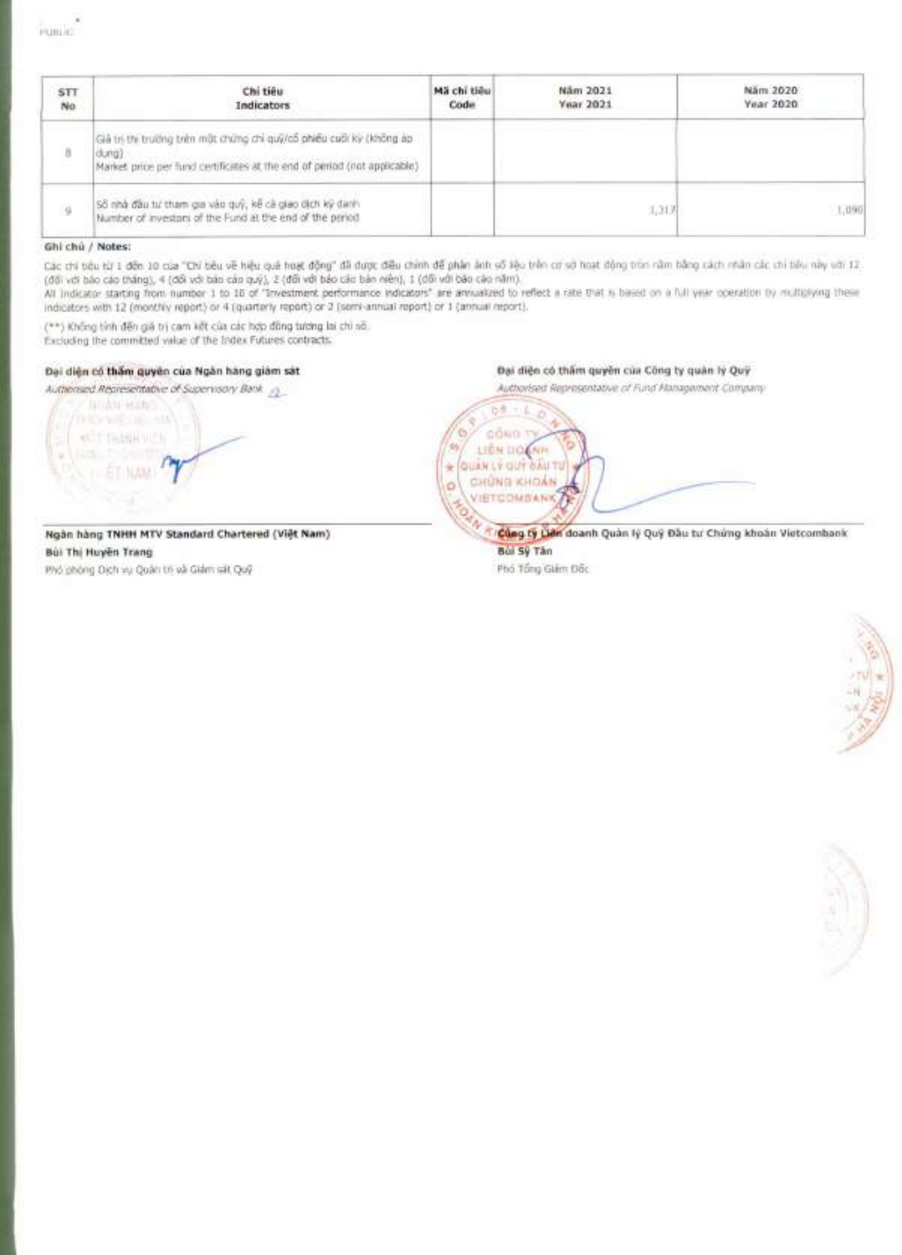| STT.<br>No. | Chi tiêu<br>Indicators                                                                                                                                     | Mã chỉ tiểu<br>Code | Näm 2021<br>Year 2021 | Näm 2020<br>Year 2020 |
|-------------|------------------------------------------------------------------------------------------------------------------------------------------------------------|---------------------|-----------------------|-----------------------|
| 8           | Giá trị thị trường trên một chứng chi quỹ/cổ phiếu cuối kỳ (không àp<br>dung).<br>Market price per fund certificates at the end of period (not applicable) |                     |                       |                       |
| 9           | Số nhà đầu tư tham gia vào quỹ, kế cả giao dịch kỹ danh<br>Number of investors of the Fund at the end of the period                                        |                     | 1,317                 | 1,090                 |

### Ghi chú / Notes:

Các chi tiêu từ 1 đến 10 của "Chỉ tiêu về hiệu quá hoạt động" đã được điều chính để phân ánh số kệu trên cơ sở hoạt động trìn năm bằng cách nhân các chi tiêu này với 12. (đối với báo cáo tháng), 4 (đối với báo cáo quý), 2 (đối với báo cáo bán niên), 1 (dối với báo cáo năm).<br>All indicator starting from number 1 to 18 of "Investment performance indicators" are annualized to reflect a rate th

indicators with 12 (monthly report) or 4 (quarterly report) or 2 (semi-annual report) or 1 (annual report).

(\*\*) Không tính đến giá trị cam kết của các hợp đồng tương lai chỉ số.

Excluding the committed value of the Index Futures contracts.

### Đại diện có thẩm quyền của Ngân hàng giảm sát

Authorised Representative of Supervisory Bank 2 **AUAU HING MOT THANK HIDE** 

Ngàn hàng TNHH MTV Standard Chartered (Việt Nam) Bùi Thị Huyện Trang Phó phòng Dịch vụ Quân trị và Giám sát Quỹ

Đại diện có thầm quyền của Công ty quản lý Quỹ

Authorised Representative of Fund Management Company of **DOND T** LIEN DOOM QUAN LY GUT DAU TU ÷ CHUNG KHOAN ö **VIETCOMSANKA** 

> Củng ty Liên doanh Quản lý Quý Đầu tư Chúng khoản Vietcombank Bùi Sỹ Tân

Phó Tổng Giám Đốc



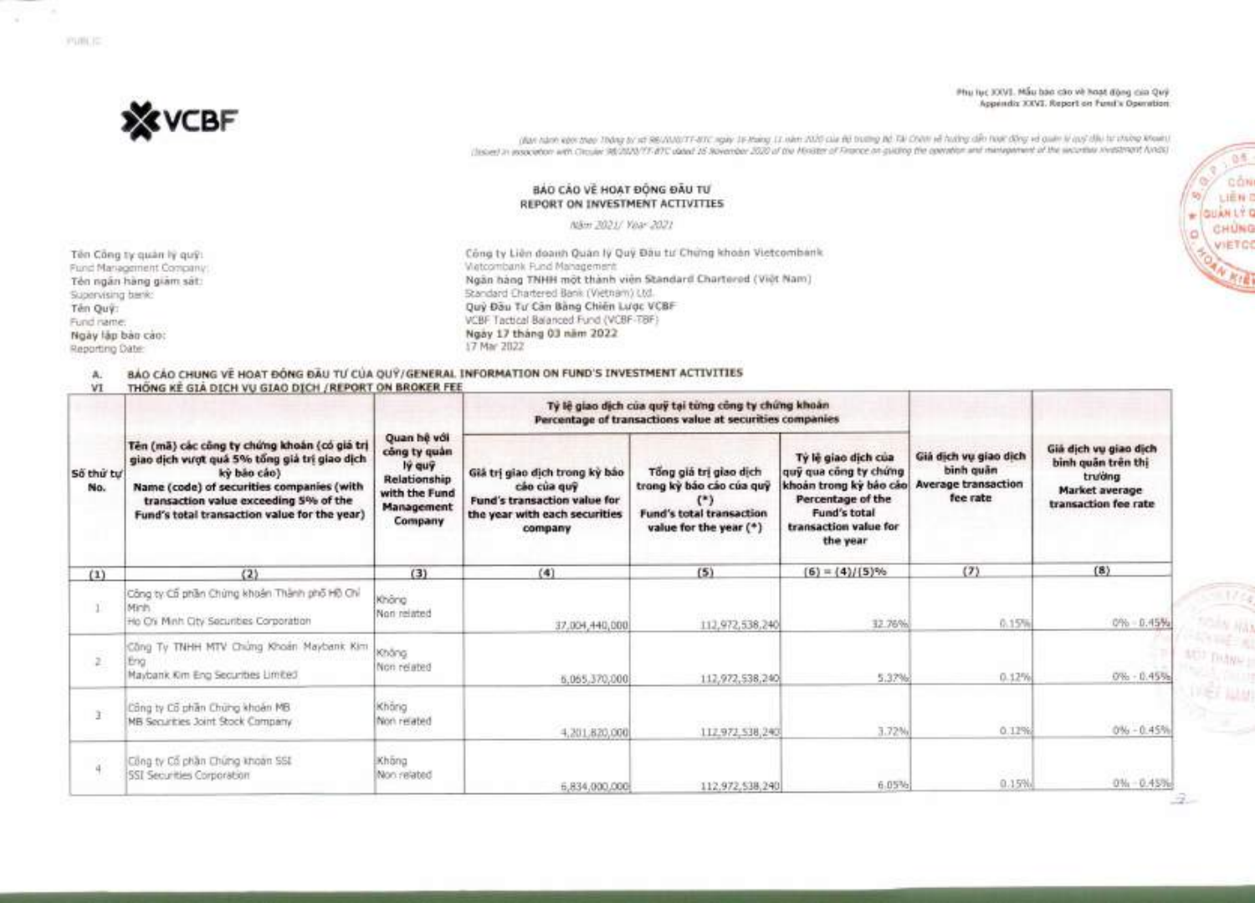Phu Iuc XXVI. Mấu báo cáo vè hoạt đòng của Quý Appendix XXVI. Report on Fund's Operation



(Ban hank kern theo Thong Ist at SBU/US/TT-8TC ngay 16 Hang 11 nom 2020 cua B6 truing B6 To Chinn va hudry din how dong va quan ly quy dia tu choing khoan) (Issued in association with Circular 98/2020/TT-BTC dated 16 November 2020 of the Minister of Finance on guiding the committee and management of the securities investment funds)

### **BAO CAO VĚ HOAT ĐỒNG ĐẦU TƯ REPORT ON INVESTMENT ACTIVITIES**

Min? 2021/ Year 2021

**Ten Cling ty guan IY guy:**  Fund Management Company: **Ten ngan hang giam sat:**  Supervising bank: **Ten QuY:**  Fund name: **Ngay lap bio cao:**  Reporting Date:

アロカビに

**CEng ty Lien doanh Quin ly Qui Dau tu' Chang khoan Vietcombank**  Vietcombank Fund Management **Ngan hang TNHH mot thanh yien Standard Chartered (Viet Nam)**  Standard Chartered Bank (Vietnam) Ltd. Quý Đầu Tư Cân Bằng Chiến Lược VCBF VCBF Tactical Balanced Fund (VCBF-TBF) **Ngiy 17 thang 03 nam 2022**  17 Mar 2022

# **A. BAO CAO CHUNG VE HOAT BONG BAU TU CUA QUY/GENERAL INFORMATION ON FUND'S INVESTMENT ACTIVITIES**<br>VI THONG KE GIA DICH VU GIAO DICH /REPORT ON BROKER FEE

THONG KE GIA DICH VU GIAO DICH / REPORT ON BROKER FEE

|                  |                                                                                                                                                                                                                                                   |                                                                                                        |                                                                                                                           | Tỷ lệ giao dịch của quỹ tại từng công ty chứng khoản<br>Percentage of transactions value at securities companies |                                                                                                                                                  |                                                                                                                |                                                                                                 |
|------------------|---------------------------------------------------------------------------------------------------------------------------------------------------------------------------------------------------------------------------------------------------|--------------------------------------------------------------------------------------------------------|---------------------------------------------------------------------------------------------------------------------------|------------------------------------------------------------------------------------------------------------------|--------------------------------------------------------------------------------------------------------------------------------------------------|----------------------------------------------------------------------------------------------------------------|-------------------------------------------------------------------------------------------------|
| Số thứ tư<br>No. | Tên (mã) các công ty chứng khoản (có giá trị<br>giao dịch vượt quá 5% tổng giả trị giao dịch<br>ký báo cáo)<br>Name (code) of securities companies (with<br>transaction value exceeding 5% of the<br>Fund's total transaction value for the year) | Quan hệ với<br>công ty quản<br>lý quỹ<br>Relationship<br>with the Fund<br><b>Management</b><br>Company | Giá trị giao dịch trong kỳ báo<br>cão của quỹ<br>Fund's transaction value for<br>the year with each securities<br>company | Tổng giá trị giao dịch<br>trong kỳ báo cáo của quỹ<br><b>Fund's total transaction</b><br>value for the year (*)  | Ty le giao dich cua<br>quỹ qua công ty chứng<br>khoản trong kỳ bảo cáo<br>Percentage of the<br>Fund's total<br>transaction value for<br>the year | Già dịch vụ giao dịch<br>binh quân<br><b>Average transaction</b><br>fee rate<br>(7)<br>0.15%<br>0.12%<br>0.12% | Già dịch vụ giao dịch<br>binh quân trên thị<br>trường<br>Market average<br>transaction fee rate |
| (1)              | (2)                                                                                                                                                                                                                                               | (3)                                                                                                    | (4)                                                                                                                       | (5)                                                                                                              | $(6) = (4)/[5]$ %                                                                                                                                |                                                                                                                | (8)                                                                                             |
|                  | Công ty Cổ phân Chúng khoán Thành phố Hộ Chỉ<br>Minh<br>He Os Minh City Securities Corporation                                                                                                                                                    | Không<br>Non related                                                                                   | 37,004,440,000                                                                                                            | 112,972,538,240                                                                                                  | 32.76%                                                                                                                                           |                                                                                                                | 0% - 0.45%                                                                                      |
| $\mathbb{Z}$     | Công Ty TNHH MTV Chúng Khoán Maybank Kim<br>Eng<br>Maybank Kim Eng Securities Limited                                                                                                                                                             | Không<br>Non related                                                                                   | 5,055,370,000                                                                                                             | 112,972,538,240                                                                                                  | 5:37%                                                                                                                                            |                                                                                                                | $0\% + 0.45\%$                                                                                  |
|                  | Công ty Cổ phần Chứng khoản MB<br>MB Securities Joint Stock Company                                                                                                                                                                               | Không.<br>Non related                                                                                  | 4,201,820,000                                                                                                             | 112.972,538,240                                                                                                  | 3.72%                                                                                                                                            |                                                                                                                | $0\% - 0.45\%$                                                                                  |
| 22               | Cong ty Co phần Chứng khoản SSL<br><b>ISSI Securities Corporation</b>                                                                                                                                                                             | Khong<br>Non-related                                                                                   | 6,834,000,000                                                                                                             | 112.972.538.240                                                                                                  | 6.05%                                                                                                                                            | 0.15%                                                                                                          | $0\% - 0.45\%$                                                                                  |

**AD** DUNK

ców 道理